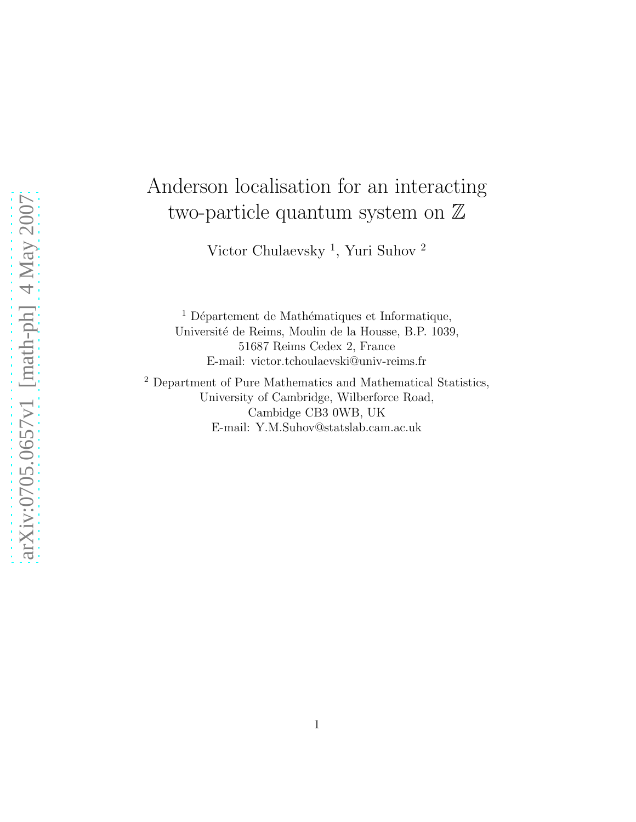# Anderson localisation for an interacting two-particle quantum system on  $\mathbb Z$

Victor Chulaevsky<sup>1</sup>, Yuri Suhov<sup>2</sup>

 $<sup>1</sup>$  Département de Mathématiques et Informatique,</sup> Universit´e de Reims, Moulin de la Housse, B.P. 1039, 51687 Reims Cedex 2, France E-mail: victor.tchoulaevski@univ-reims.fr

<sup>2</sup> Department of Pure Mathematics and Mathematical Statistics, University of Cambridge, Wilberforce Road, Cambidge CB3 0WB, UK E-mail: Y.M.Suhov@statslab.cam.ac.uk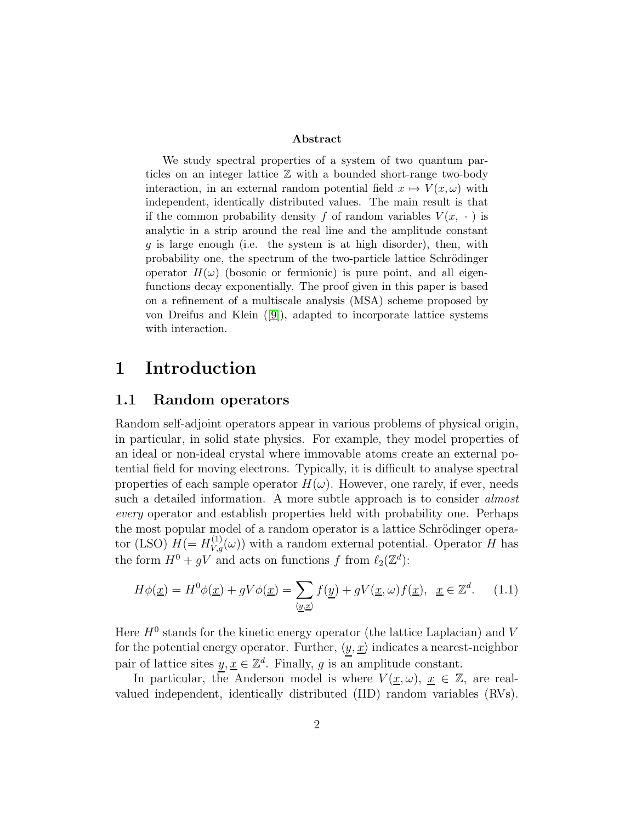#### Abstract

We study spectral properties of a system of two quantum particles on an integer lattice Z with a bounded short-range two-body interaction, in an external random potential field  $x \mapsto V(x, \omega)$  with independent, identically distributed values. The main result is that if the common probability density f of random variables  $V(x, \cdot)$  is analytic in a strip around the real line and the amplitude constant  $g$  is large enough (i.e. the system is at high disorder), then, with probability one, the spectrum of the two-particle lattice Schrödinger operator  $H(\omega)$  (bosonic or fermionic) is pure point, and all eigenfunctions decay exponentially. The proof given in this paper is based on a refinement of a multiscale analysis (MSA) scheme proposed by von Dreifus and Klein ([\[9\]](#page-35-0)), adapted to incorporate lattice systems with interaction.

# 1 Introduction

### 1.1 Random operators

Random self-adjoint operators appear in various problems of physical origin, in particular, in solid state physics. For example, they model properties of an ideal or non-ideal crystal where immovable atoms create an external potential field for moving electrons. Typically, it is difficult to analyse spectral properties of each sample operator  $H(\omega)$ . However, one rarely, if ever, needs such a detailed information. A more subtle approach is to consider *almost* every operator and establish properties held with probability one. Perhaps the most popular model of a random operator is a lattice Schrödinger operator (LSO)  $H (= H_{V,g}^{(1)}(\omega))$  with a random external potential. Operator H has the form  $H^0 + gV$  and acts on functions f from  $\ell_2(\mathbb{Z}^d)$ :

$$
H\phi(\underline{x}) = H^0\phi(\underline{x}) + gV\phi(\underline{x}) = \sum_{\langle \underline{y}, \underline{x} \rangle} f(\underline{y}) + gV(\underline{x}, \omega)f(\underline{x}), \ \underline{x} \in \mathbb{Z}^d. \tag{1.1}
$$

Here  $H<sup>0</sup>$  stands for the kinetic energy operator (the lattice Laplacian) and V for the potential energy operator. Further,  $\langle y, \underline{x} \rangle$  indicates a nearest-neighbor pair of lattice sites  $y, \underline{x} \in \mathbb{Z}^d$ . Finally, g is an amplitude constant.

In particular, the Anderson model is where  $V(\underline{x}, \omega)$ ,  $\underline{x} \in \mathbb{Z}$ , are realvalued independent, identically distributed (IID) random variables (RVs).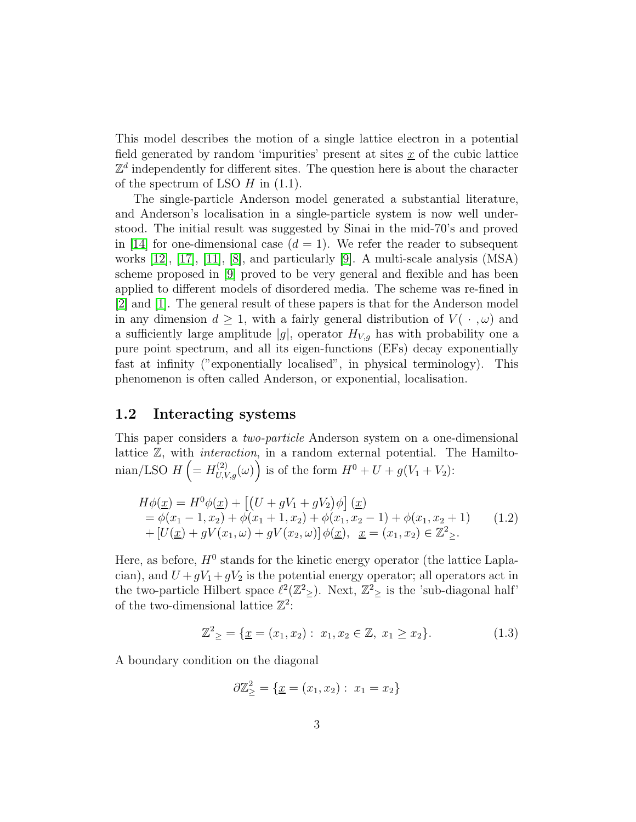This model describes the motion of a single lattice electron in a potential field generated by random 'impurities' present at sites  $\underline{x}$  of the cubic lattice  $\mathbb{Z}^d$  independently for different sites. The question here is about the character of the spectrum of LSO  $H$  in  $(1.1)$ .

The single-particle Anderson model generated a substantial literature, and Anderson's localisation in a single-particle system is now well understood. The initial result was suggested by Sinai in the mid-70's and proved in [\[14\]](#page-35-1) for one-dimensional case  $(d = 1)$ . We refer the reader to subsequent works [\[12\]](#page-35-2), [\[17\]](#page-35-3), [\[11\]](#page-35-4), [\[8\]](#page-34-0), and particularly [\[9\]](#page-35-0). A multi-scale analysis (MSA) scheme proposed in [\[9\]](#page-35-0) proved to be very general and flexible and has been applied to different models of disordered media. The scheme was re-fined in [\[2\]](#page-34-1) and [\[1\]](#page-34-2). The general result of these papers is that for the Anderson model in any dimension  $d \geq 1$ , with a fairly general distribution of  $V(\cdot, \omega)$  and a sufficiently large amplitude |g|, operator  $H_{V,g}$  has with probability one a pure point spectrum, and all its eigen-functions (EFs) decay exponentially fast at infinity ("exponentially localised", in physical terminology). This phenomenon is often called Anderson, or exponential, localisation.

### 1.2 Interacting systems

This paper considers a two-particle Anderson system on a one-dimensional lattice  $\mathbb{Z}$ , with *interaction*, in a random external potential. The Hamiltonian/LSO  $H\left(=H_{U,V,g}^{(2)}(\omega)\right)$  is of the form  $H^0+U+g(V_1+V_2)$ :

$$
H\phi(\underline{x}) = H^0\phi(\underline{x}) + \left[ (U + gV_1 + gV_2)\phi \right](\underline{x})
$$
  
=  $\phi(x_1 - 1, x_2) + \phi(x_1 + 1, x_2) + \phi(x_1, x_2 - 1) + \phi(x_1, x_2 + 1)$  (1.2)  
+  $[U(\underline{x}) + gV(x_1, \omega) + gV(x_2, \omega)]\phi(\underline{x}), \underline{x} = (x_1, x_2) \in \mathbb{Z}^2_{\geq}.$ 

Here, as before,  $H^0$  stands for the kinetic energy operator (the lattice Laplacian), and  $U + gV_1 + gV_2$  is the potential energy operator; all operators act in the two-particle Hilbert space  $\ell^2(\mathbb{Z}^2)$ . Next,  $\mathbb{Z}^2$  is the 'sub-diagonal half' of the two-dimensional lattice  $\mathbb{Z}^2$ :

$$
\mathbb{Z}^2 \geq \{ \underline{x} = (x_1, x_2) : x_1, x_2 \in \mathbb{Z}, x_1 \geq x_2 \}. \tag{1.3}
$$

A boundary condition on the diagonal

$$
\partial \mathbb{Z}_{\geq}^2 = \{ \underline{x} = (x_1, x_2) : x_1 = x_2 \}
$$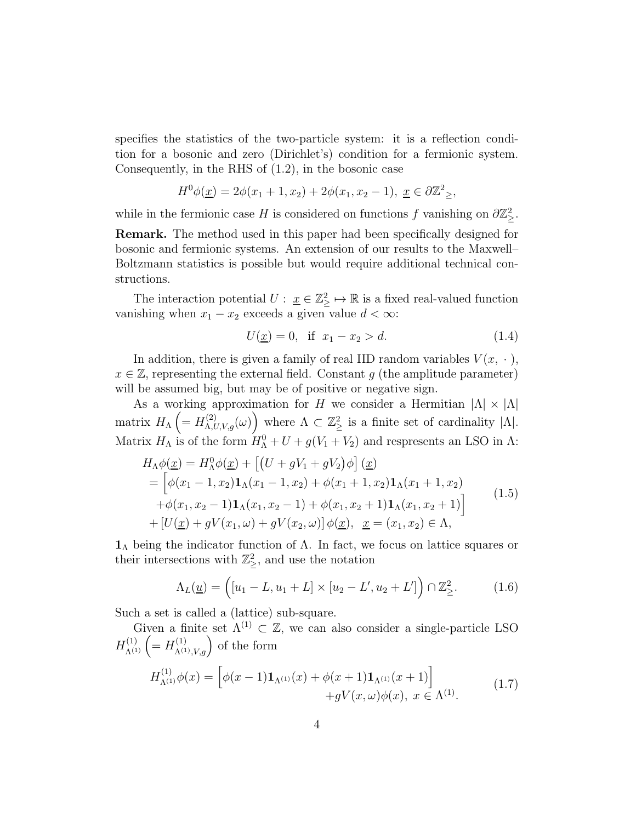specifies the statistics of the two-particle system: it is a reflection condition for a bosonic and zero (Dirichlet's) condition for a fermionic system. Consequently, in the RHS of (1.2), in the bosonic case

$$
H^{0}\phi(\underline{x}) = 2\phi(x_{1} + 1, x_{2}) + 2\phi(x_{1}, x_{2} - 1), \ \underline{x} \in \partial \mathbb{Z}^{2}_{\geq},
$$

while in the fermionic case H is considered on functions f vanishing on  $\partial \mathbb{Z}_{\geq}^2$ .

Remark. The method used in this paper had been specifically designed for bosonic and fermionic systems. An extension of our results to the Maxwell– Boltzmann statistics is possible but would require additional technical constructions.

The interaction potential  $U: \underline{x} \in \mathbb{Z}_{\geq}^2 \mapsto \mathbb{R}$  is a fixed real-valued function vanishing when  $x_1 - x_2$  exceeds a given value  $d < \infty$ :

$$
U(\underline{x}) = 0, \text{ if } x_1 - x_2 > d. \tag{1.4}
$$

In addition, there is given a family of real IID random variables  $V(x, \cdot)$ ,  $x \in \mathbb{Z}$ , representing the external field. Constant q (the amplitude parameter) will be assumed big, but may be of positive or negative sign.

As a working approximation for H we consider a Hermitian  $|\Lambda| \times |\Lambda|$ matrix  $H_{\Lambda}$   $\left(=H_{\Lambda,U,V,g}^{(2)}(\omega)\right)$  where  $\Lambda \subset \mathbb{Z}_{\geq}^2$  is a finite set of cardinality  $|\Lambda|$ . Matrix  $H_{\Lambda}$  is of the form  $H_{\Lambda}^0 + U + g(V_1 + V_2)$  and respresents an LSO in  $\Lambda$ :

$$
H_{\Lambda}\phi(\underline{x}) = H_{\Lambda}^{0}\phi(\underline{x}) + \left[ (U + gV_{1} + gV_{2})\phi \right](\underline{x})
$$
  
= 
$$
\left[ \phi(x_{1} - 1, x_{2})\mathbf{1}_{\Lambda}(x_{1} - 1, x_{2}) + \phi(x_{1} + 1, x_{2})\mathbf{1}_{\Lambda}(x_{1} + 1, x_{2}) + \phi(x_{1}, x_{2} - 1)\mathbf{1}_{\Lambda}(x_{1}, x_{2} - 1) + \phi(x_{1}, x_{2} + 1)\mathbf{1}_{\Lambda}(x_{1}, x_{2} + 1) \right]
$$
  
+ 
$$
\left[ U(\underline{x}) + gV(x_{1}, \omega) + gV(x_{2}, \omega) \right] \phi(\underline{x}), \underline{x} = (x_{1}, x_{2}) \in \Lambda,
$$
 (1.5)

 $1<sub>Λ</sub>$  being the indicator function of  $Λ$ . In fact, we focus on lattice squares or their intersections with  $\mathbb{Z}_\geq^2$ , and use the notation

$$
\Lambda_L(\underline{u}) = \left( [u_1 - L, u_1 + L] \times [u_2 - L', u_2 + L'] \right) \cap \mathbb{Z}_{\geq}^2. \tag{1.6}
$$

Such a set is called a (lattice) sub-square.

Given a finite set  $\Lambda^{(1)} \subset \mathbb{Z}$ , we can also consider a single-particle LSO  $H_{\Lambda^{(1)}}^{(1)}\left(=H_{\Lambda^{(1)},V,g}^{(1)}\right)$  of the form

$$
H_{\Lambda^{(1)}}^{(1)} \phi(x) = \left[ \phi(x-1) \mathbf{1}_{\Lambda^{(1)}}(x) + \phi(x+1) \mathbf{1}_{\Lambda^{(1)}}(x+1) \right] + gV(x,\omega)\phi(x), \ x \in \Lambda^{(1)}.
$$
 (1.7)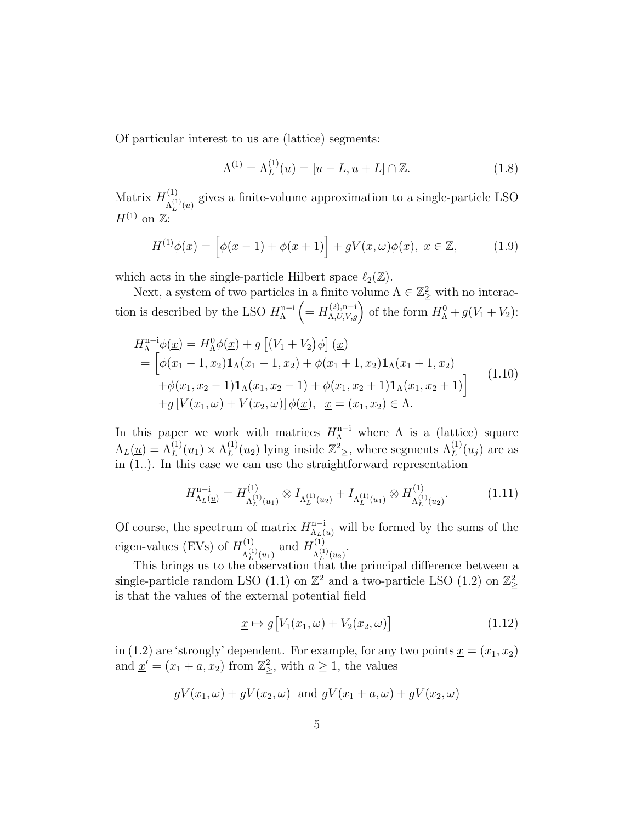Of particular interest to us are (lattice) segments:

$$
\Lambda^{(1)} = \Lambda_L^{(1)}(u) = [u - L, u + L] \cap \mathbb{Z}.
$$
 (1.8)

Matrix  $H^{(1)}_{\lambda^{(1)}}$  $\Lambda_L^{(1)}(u)$  gives a finite-volume approximation to a single-particle LSO  $H^{(1)}$  on  $\mathbb{Z}$ :

$$
H^{(1)}\phi(x) = \left[\phi(x-1) + \phi(x+1)\right] + gV(x,\omega)\phi(x), \ x \in \mathbb{Z},\tag{1.9}
$$

which acts in the single-particle Hilbert space  $\ell_2(\mathbb{Z})$ .

Next, a system of two particles in a finite volume  $\Lambda \in \mathbb{Z}_\geq^2$  with no interaction is described by the LSO  $H_{\Lambda}^{n-i}$ Λ  $\left(=H^{(2),n-i}_{\Lambda,U,V,g}\right)$  of the form  $H^0_{\Lambda}+g(V_1+V_2)$ :

$$
H_{\Lambda}^{n-i}\phi(\underline{x}) = H_{\Lambda}^{0}\phi(\underline{x}) + g [(V_{1} + V_{2})\phi] (\underline{x})
$$
  
= 
$$
\left[\phi(x_{1} - 1, x_{2})\mathbf{1}_{\Lambda}(x_{1} - 1, x_{2}) + \phi(x_{1} + 1, x_{2})\mathbf{1}_{\Lambda}(x_{1} + 1, x_{2}) + \phi(x_{1}, x_{2} - 1)\mathbf{1}_{\Lambda}(x_{1}, x_{2} - 1) + \phi(x_{1}, x_{2} + 1)\mathbf{1}_{\Lambda}(x_{1}, x_{2} + 1)\right]
$$
  
+
$$
g[V(x_{1}, \omega) + V(x_{2}, \omega)] \phi(\underline{x}), \underline{x} = (x_{1}, x_{2}) \in \Lambda.
$$
 (1.10)

In this paper we work with matrices  $H_{\Lambda}^{n-i}$  where  $\Lambda$  is a (lattice) square  $\Lambda_L(\underline{u}) = \Lambda_L^{(1)}(u_1) \times \Lambda_L^{(1)}$  $L^{(1)}(u_2)$  lying inside  $\mathbb{Z}^2_{\geq}$ , where segments  $\Lambda_L^{(1)}(u_j)$  are as in (1..). In this case we can use the straightforward representation

$$
H_{\Lambda_L(\underline{u})}^{\mathbf{n}-\mathbf{i}} = H_{\Lambda_L^{(1)}(u_1)}^{(1)} \otimes I_{\Lambda_L^{(1)}(u_2)} + I_{\Lambda_L^{(1)}(u_1)} \otimes H_{\Lambda_L^{(1)}(u_2)}^{(1)}.\tag{1.11}
$$

Of course, the spectrum of matrix  $H_{\Lambda_L(\underline{u})}^{n-i}$  will be formed by the sums of the eigen-values (EVs) of  $H^{(1)}_{\lambda^{(1)}}$  $\Lambda_L^{(1)}(u_1)}$  and  $H_{\Lambda_L^{(1)}}^{(1)}$  $\Lambda_L^{(1)}(u_2)$ .

This brings us to the observation that the principal difference between a single-particle random LSO (1.1) on  $\mathbb{Z}^2$  and a two-particle LSO (1.2) on  $\mathbb{Z}^2_{\geq}$ is that the values of the external potential field

$$
\underline{x} \mapsto g[V_1(x_1, \omega) + V_2(x_2, \omega)] \tag{1.12}
$$

in (1.2) are 'strongly' dependent. For example, for any two points  $\underline{x} = (x_1, x_2)$ and  $\underline{x}' = (x_1 + a, x_2)$  from  $\mathbb{Z}_\geq^2$ , with  $a \geq 1$ , the values

$$
gV(x_1, \omega) + gV(x_2, \omega)
$$
 and  $gV(x_1 + a, \omega) + gV(x_2, \omega)$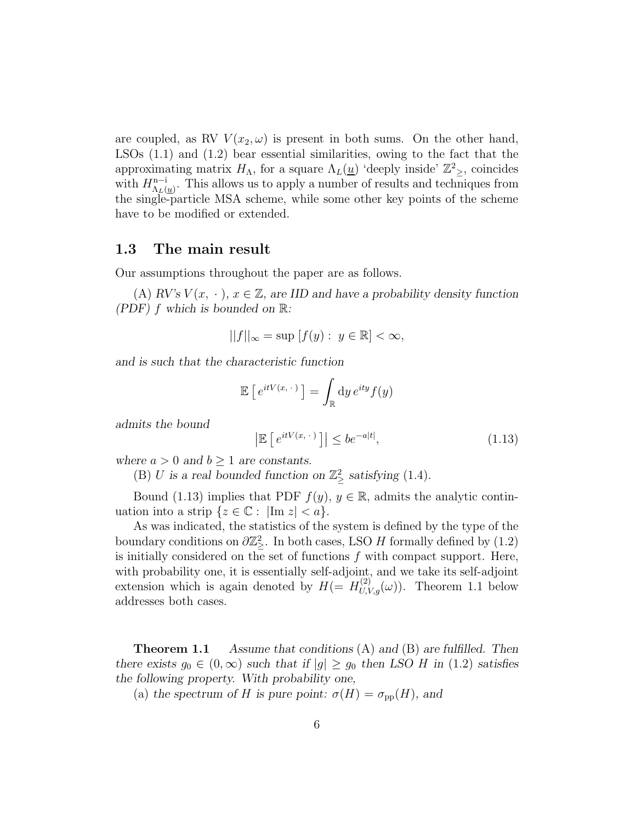are coupled, as RV  $V(x_2, \omega)$  is present in both sums. On the other hand, LSOs (1.1) and (1.2) bear essential similarities, owing to the fact that the approximating matrix  $H_{\Lambda}$ , for a square  $\Lambda_L(\underline{u})$  'deeply inside'  $\mathbb{Z}_{\geq}^2$ , coincides with  $H_{\Lambda_L}^{n-i}$  $n_{\Lambda_L(\underline{u})}^{n-1}$ . This allows us to apply a number of results and techniques from the single-particle MSA scheme, while some other key points of the scheme have to be modified or extended.

### 1.3 The main result

Our assumptions throughout the paper are as follows.

(A)  $RV's V(x, \cdot), x \in \mathbb{Z}$ , are IID and have a probability density function *(PDF)* f *which is bounded on* R*:*

$$
||f||_{\infty} = \sup [f(y) : y \in \mathbb{R}] < \infty,
$$

*and is such that the characteristic function*

$$
\mathbb{E}\left[e^{itV(x,\,\cdot\,)}\right] = \int_{\mathbb{R}} \mathrm{d}y \, e^{ity} f(y)
$$

*admits the bound*

$$
\left| \mathbb{E} \left[ e^{itV(x, \cdot)} \right] \right| \leq be^{-a|t|}, \tag{1.13}
$$

*where*  $a > 0$  *and*  $b \ge 1$  *are constants.* 

(B) *U* is a real bounded function on  $\mathbb{Z}_\geq^2$  satisfying (1.4).

Bound (1.13) implies that PDF  $f(y)$ ,  $y \in \mathbb{R}$ , admits the analytic continuation into a strip  $\{z \in \mathbb{C} : |\text{Im } z| < a\}.$ 

As was indicated, the statistics of the system is defined by the type of the boundary conditions on  $\partial \mathbb{Z}_{\geq}^2$ . In both cases, LSO H formally defined by  $(1.2)$ is initially considered on the set of functions  $f$  with compact support. Here, with probability one, it is essentially self-adjoint, and we take its self-adjoint extension which is again denoted by  $H = H_{U,V,g}^{(2)}(\omega)$ . Theorem 1.1 below addresses both cases.

Theorem 1.1 *Assume that conditions* (A) *and* (B) *are fulfilled. Then there exists*  $g_0 \in (0, \infty)$  *such that if*  $|g| \ge g_0$  *then LSO H in* (1.2) *satisfies the following property. With probability one,*

(a) the spectrum of H is pure point:  $\sigma(H) = \sigma_{\text{pp}}(H)$ , and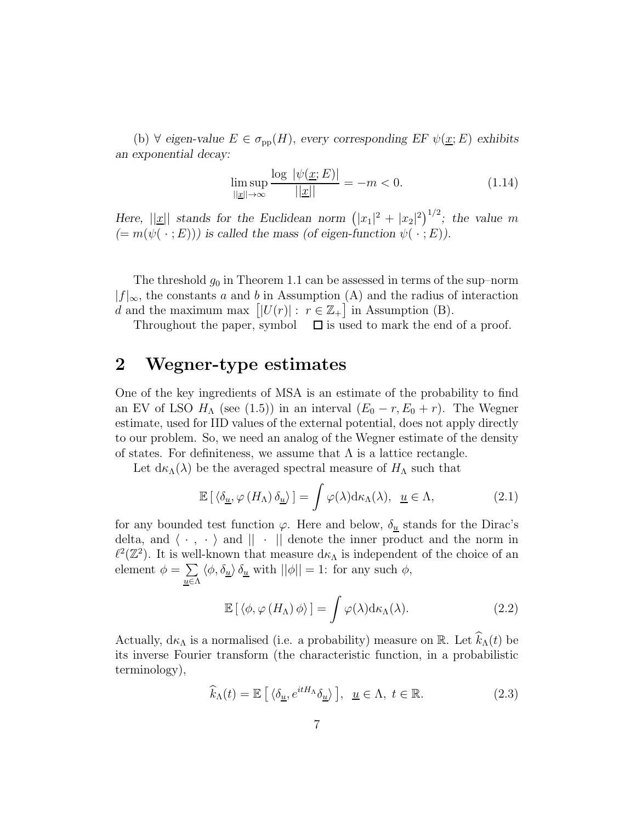(b)  $\forall$  *eigen-value*  $E \in \sigma_{\text{pp}}(H)$ , *every corresponding*  $EF \psi(\underline{x}; E)$  *exhibits an exponential decay:*

$$
\limsup_{||\underline{x}|| \to \infty} \frac{\log |\psi(\underline{x}; E)|}{||\underline{x}||} = -m < 0. \tag{1.14}
$$

*Here,*  $||\underline{x}||$  *stands for the Euclidean norm*  $(|x_1|^2 + |x_2|^2)^{1/2}$ *; the value m*  $(= m(\psi(\cdot ; E)))$  is called the mass (of eigen-function  $\psi(\cdot ; E)$ ).

The threshold  $g_0$  in Theorem 1.1 can be assessed in terms of the sup–norm  $|f|_{\infty}$ , the constants a and b in Assumption (A) and the radius of interaction d and the maximum max  $[|U(r)|: r \in \mathbb{Z}_+]$  in Assumption (B).

Throughout the paper, symbol  $\Box$  is used to mark the end of a proof.

# 2 Wegner-type estimates

One of the key ingredients of MSA is an estimate of the probability to find an EV of LSO  $H_{\Lambda}$  (see (1.5)) in an interval  $(E_0 - r, E_0 + r)$ . The Wegner estimate, used for IID values of the external potential, does not apply directly to our problem. So, we need an analog of the Wegner estimate of the density of states. For definiteness, we assume that  $\Lambda$  is a lattice rectangle.

Let  $d\kappa_{\Lambda}(\lambda)$  be the averaged spectral measure of  $H_{\Lambda}$  such that

$$
\mathbb{E}\left[\left\langle \delta_{\underline{u}},\varphi\left(H_{\Lambda}\right)\delta_{\underline{u}}\right\rangle\right]=\int\varphi(\lambda)\mathrm{d}\kappa_{\Lambda}(\lambda),\ \underline{u}\in\Lambda,\tag{2.1}
$$

for any bounded test function  $\varphi$ . Here and below,  $\delta_{\underline{u}}$  stands for the Dirac's delta, and  $\langle \cdot, \cdot \rangle$  and  $\|\cdot\|$  denote the inner product and the norm in  $\ell^2(\mathbb{Z}^2)$ . It is well-known that measure  $d\kappa_\Lambda$  is independent of the choice of an element  $\phi = \sum$  $u∈Λ$ </u>  $\langle \phi, \delta_{\underline{u}} \rangle \delta_{\underline{u}}$  with  $||\phi|| = 1$ : for any such  $\phi$ ,

$$
\mathbb{E}\left[\left\langle \phi, \varphi\left(H_{\Lambda}\right) \phi\right\rangle\right] = \int \varphi(\lambda) d\kappa_{\Lambda}(\lambda). \tag{2.2}
$$

Actually,  $d\kappa_{\Lambda}$  is a normalised (i.e. a probability) measure on R. Let  $\hat{k}_{\Lambda}(t)$  be its inverse Fourier transform (the characteristic function, in a probabilistic terminology),

$$
\widehat{k}_{\Lambda}(t) = \mathbb{E}\left[\left\langle \delta_{\underline{u}}, e^{itH_{\Lambda}} \delta_{\underline{u}} \right\rangle\right], \ \underline{u} \in \Lambda, \ t \in \mathbb{R}.
$$
\n(2.3)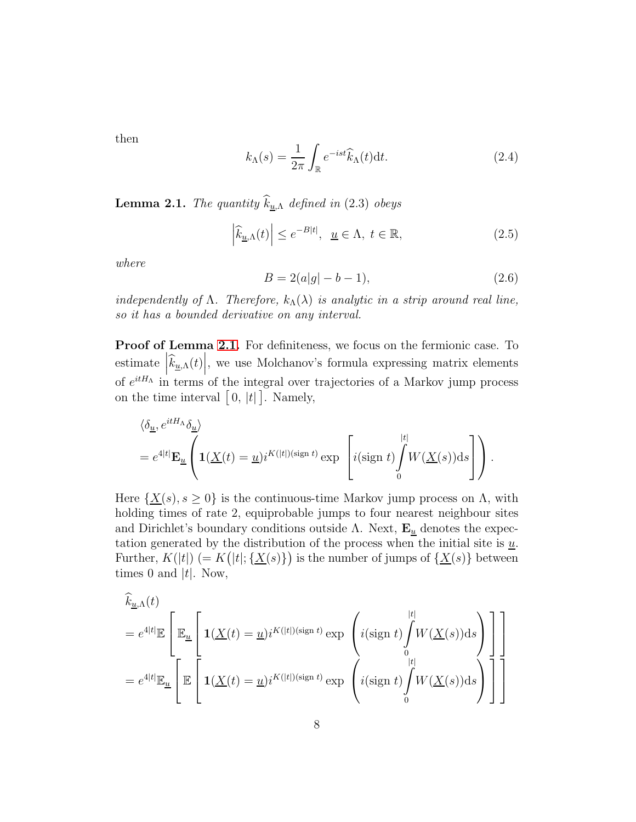then

$$
k_{\Lambda}(s) = \frac{1}{2\pi} \int_{\mathbb{R}} e^{-ist} \widehat{k}_{\Lambda}(t) dt.
$$
 (2.4)

<span id="page-7-0"></span>**Lemma 2.1.** The quantity  $\widehat{k}_{\underline{u},\Lambda}$  defined in (2.3) obeys

$$
\left|\widehat{k}_{\underline{u},\Lambda}(t)\right| \le e^{-B|t|}, \ \underline{u} \in \Lambda, \ t \in \mathbb{R}, \tag{2.5}
$$

where

$$
B = 2(a|g| - b - 1),
$$
\n(2.6)

independently of  $\Lambda$ . Therefore,  $k_{\Lambda}(\lambda)$  is analytic in a strip around real line, so it has a bounded derivative on any interval.

Proof of Lemma [2.1.](#page-7-0) For definiteness, we focus on the fermionic case. To estimate  $\left|\hat{k}_{\underline{u},\Lambda}(t)\right|$ , we use Molchanov's formula expressing matrix elements of  $e^{itH_A}$  in terms of the integral over trajectories of a Markov jump process on the time interval  $[0, |t|]$ . Namely,

$$
\langle \delta_{\underline{u}}, e^{itH_{\Lambda}} \delta_{\underline{u}} \rangle = e^{4|t|} \mathbf{E}_{\underline{u}} \left( \mathbf{1}(\underline{X}(t) = \underline{u}) i^{K(|t|)(\text{sign }t)} \exp \left[ i (\text{sign }t) \int_{0}^{|t|} W(\underline{X}(s)) \, ds \right] \right).
$$

Here  $\{\underline{X}(s), s \geq 0\}$  is the continuous-time Markov jump process on  $\Lambda$ , with holding times of rate 2, equiprobable jumps to four nearest neighbour sites and Dirichlet's boundary conditions outside  $\Lambda$ . Next,  $\mathbf{E}_{\underline{u}}$  denotes the expectation generated by the distribution of the process when the initial site is  $\underline{u}$ . Further,  $K(|t|)$  (=  $K(|t|; {\underline{X(s)}})$ ) is the number of jumps of  ${\underline{X(s)}}$  between times 0 and  $|t|$ . Now,

$$
\widehat{k}_{\underline{u},\Lambda}(t)
$$
\n
$$
= e^{4|t|} \mathbb{E}\left[\mathbb{E}_{\underline{u}}\left[\mathbb{1}(\underline{X}(t) = \underline{u})i^{K(|t|)(\text{sign }t)} \exp\left(i(\text{sign }t)\int_{0}^{|t|} W(\underline{X}(s))ds\right)\right]\right]
$$
\n
$$
= e^{4|t|} \mathbb{E}_{\underline{u}}\left[\mathbb{E}\left[\mathbb{1}(\underline{X}(t) = \underline{u})i^{K(|t|)(\text{sign }t)} \exp\left(i(\text{sign }t)\int_{0}^{|t|} W(\underline{X}(s))ds\right)\right]\right]
$$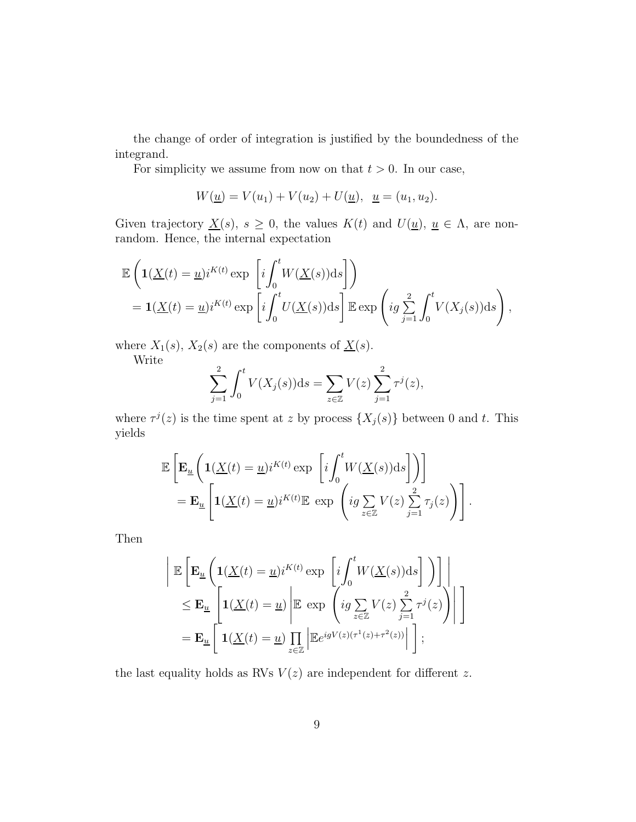the change of order of integration is justified by the boundedness of the integrand.

For simplicity we assume from now on that  $t > 0$ . In our case,

$$
W(\underline{u}) = V(u_1) + V(u_2) + U(\underline{u}), \ \ \underline{u} = (u_1, u_2).
$$

Given trajectory  $\underline{X}(s)$ ,  $s \geq 0$ , the values  $K(t)$  and  $U(\underline{u})$ ,  $\underline{u} \in \Lambda$ , are nonrandom. Hence, the internal expectation

$$
\mathbb{E}\left(\mathbf{1}(\underline{X}(t) = \underline{u})i^{K(t)} \exp\left[i\int_0^t W(\underline{X}(s))ds\right]\right)
$$
  
=  $\mathbf{1}(\underline{X}(t) = \underline{u})i^{K(t)} \exp\left[i\int_0^t U(\underline{X}(s))ds\right] \mathbb{E} \exp\left(ig\sum_{j=1}^2 \int_0^t V(X_j(s))ds\right),$ 

where  $X_1(s)$ ,  $X_2(s)$  are the components of  $\underline{X}(s)$ .

Write

$$
\sum_{j=1}^{2} \int_{0}^{t} V(X_{j}(s)) \mathrm{d}s = \sum_{z \in \mathbb{Z}} V(z) \sum_{j=1}^{2} \tau^{j}(z),
$$

where  $\tau^{j}(z)$  is the time spent at z by process  $\{X_{j}(s)\}\$  between 0 and t. This yields

$$
\mathbb{E}\left[\mathbf{E}_{\underline{u}}\left(\mathbf{1}(\underline{X}(t)=\underline{u})i^{K(t)}\exp\left[i\int_{0}^{t}W(\underline{X}(s))\mathrm{d}s\right]\right)\right]
$$
\n
$$
=\mathbf{E}_{\underline{u}}\left[\mathbf{1}(\underline{X}(t)=\underline{u})i^{K(t)}\mathbb{E}\exp\left(i g\sum_{z\in\mathbb{Z}}V(z)\sum_{j=1}^{2}\tau_{j}(z)\right)\right].
$$

Then

$$
\begin{aligned}\n& \left| \mathbb{E} \left[ \mathbf{E}_{\underline{u}} \left( \mathbf{1}(\underline{X}(t) = \underline{u}) i^{K(t)} \exp \left[ i \int_0^t W(\underline{X}(s)) \mathrm{d}s \right] \right) \right] \right| \\
& \leq \mathbf{E}_{\underline{u}} \left[ \mathbf{1}(\underline{X}(t) = \underline{u}) \left| \mathbb{E} \exp \left( ig \sum_{z \in \mathbb{Z}} V(z) \sum_{j=1}^2 \tau^j(z) \right) \right| \right] \\
& = \mathbf{E}_{\underline{u}} \left[ \mathbf{1}(\underline{X}(t) = \underline{u}) \prod_{z \in \mathbb{Z}} \left| \mathbb{E} e^{igV(z)(\tau^1(z) + \tau^2(z))} \right| \right];\n\end{aligned}
$$

the last equality holds as RVs  $V(z)$  are independent for different z.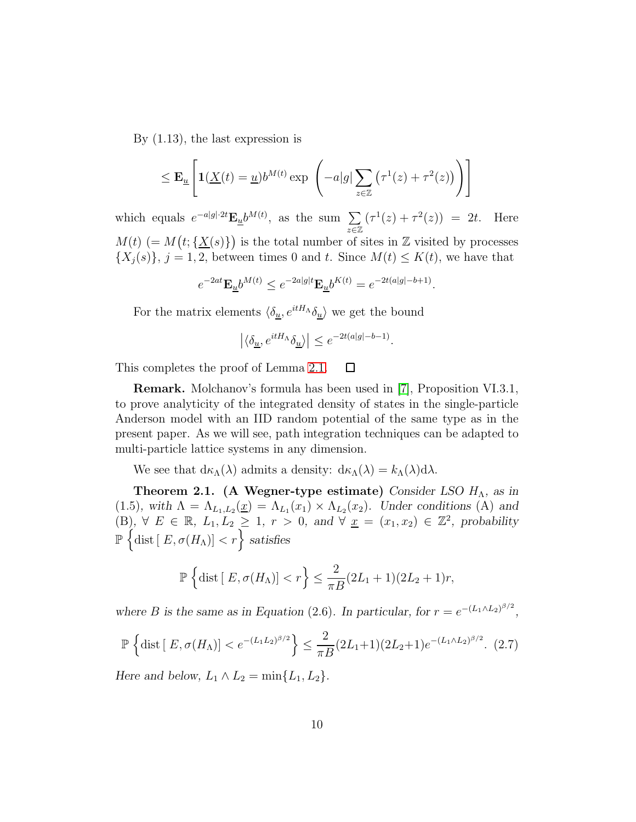By (1.13), the last expression is

$$
\leq \mathbf{E}_{\underline{u}}\left[\mathbf{1}(\underline{X}(t)=\underline{u})b^{M(t)}\exp\left(-a|g|\sum_{z\in\mathbb{Z}}\left(\tau^1(z)+\tau^2(z)\right)\right)\right]
$$

which equals  $e^{-a|g|\cdot 2t} \mathbf{E}_{\underline{u}} b^{M(t)}$ , as the sum  $\sum$ z∈Z  $(\tau^1(z) + \tau^2(z)) = 2t$ . Here  $M(t)$  (=  $M(t; {\underline{X}(s)}$ ) is the total number of sites in Z visited by processes  $\{X_j(s)\}\,$ ,  $j = 1, 2$ , between times 0 and t. Since  $M(t) \leq K(t)$ , we have that

$$
e^{-2at} \mathbf{E}_{\underline{u}} b^{M(t)} \le e^{-2a|g|t} \mathbf{E}_{\underline{u}} b^{K(t)} = e^{-2t(a|g|-b+1)}.
$$

For the matrix elements  $\langle \delta_{\underline{u}}, e^{itH_\Lambda}\delta_{\underline{u}} \rangle$  we get the bound

$$
\left|\langle\delta_{\underline{u}},e^{itH_\Lambda}\delta_{\underline{u}}\rangle\right|\leq e^{-2t(a|g|-b-1)}
$$

.

This completes the proof of Lemma [2.1.](#page-7-0) □

Remark. Molchanov's formula has been used in [\[7\]](#page-34-3), Proposition VI.3.1, to prove analyticity of the integrated density of states in the single-particle Anderson model with an IID random potential of the same type as in the present paper. As we will see, path integration techniques can be adapted to multi-particle lattice systems in any dimension.

We see that  $d\kappa_{\Lambda}(\lambda)$  admits a density:  $d\kappa_{\Lambda}(\lambda) = k_{\Lambda}(\lambda)d\lambda$ .

Theorem 2.1. (A Wegner-type estimate) *Consider LSO* H<sub>Λ</sub>, as in  $(1.5)$ *, with*  $\Lambda = \Lambda_{L_1,L_2}(\underline{x}) = \Lambda_{L_1}(x_1) \times \Lambda_{L_2}(x_2)$ *. Under conditions* (A) and  $(B)$ , ∀  $E \in \mathbb{R}$ ,  $L_1, L_2 \ge 1$ ,  $r > 0$ , and ∀  $\underline{x} = (x_1, x_2) \in \mathbb{Z}^2$ , probability  $\mathbb{P}\left\{\text{dist}\,[\,E,\sigma(H_\Lambda)]< r\right\}$  satisfies

$$
\mathbb{P}\left\{\text{dist}\left[\ E,\sigma(H_{\Lambda})\right] < r\right\} \le \frac{2}{\pi B}(2L_1+1)(2L_2+1)r,
$$

*where B* is the same as in Equation (2.6). In particular, for  $r = e^{-(L_1 \wedge L_2)^{\beta/2}}$ ,

$$
\mathbb{P}\left\{\text{dist}\left[\ E,\sigma(H_{\Lambda})\right] < e^{-(L_1L_2)^{\beta/2}}\right\} \le \frac{2}{\pi B}(2L_1+1)(2L_2+1)e^{-(L_1\wedge L_2)^{\beta/2}}.\tag{2.7}
$$

*Here and below,*  $L_1 \wedge L_2 = \min\{L_1, L_2\}.$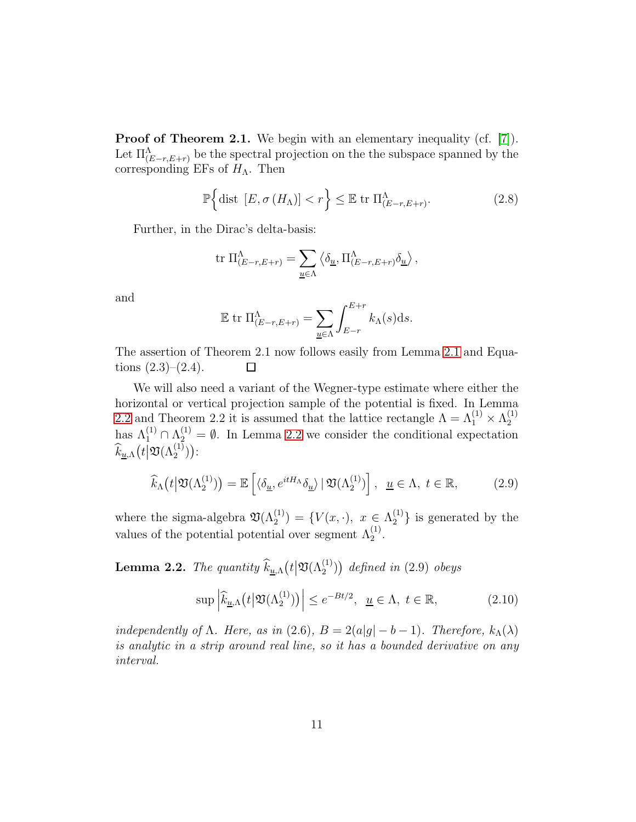Proof of Theorem 2.1. We begin with an elementary inequality (cf. [\[7\]](#page-34-3)). Let  $\Pi_{(E-r,E+r)}^{\Lambda}$  be the spectral projection on the the subspace spanned by the corresponding EFs of  $H_{\Lambda}$ . Then

$$
\mathbb{P}\left\{\text{dist}\left[E,\sigma\left(H_{\Lambda}\right)\right]\n(2.8)
$$

Further, in the Dirac's delta-basis:

$$
\operatorname{tr} \, \Pi_{(E-r,E+r)}^{\Lambda} = \sum_{\underline{u} \in \Lambda} \left\langle \delta_{\underline{u}}, \Pi_{(E-r,E+r)}^{\Lambda} \delta_{\underline{u}} \right\rangle,
$$

and

$$
\mathbb{E} \text{ tr } \Pi_{(E-r,E+r)}^{\Lambda} = \sum_{\underline{u} \in \Lambda} \int_{E-r}^{E+r} k_{\Lambda}(s) \mathrm{d}s.
$$

The assertion of Theorem 2.1 now follows easily from Lemma [2.1](#page-7-0) and Equations  $(2.3)$ – $(2.4)$ .  $\Box$ 

We will also need a variant of the Wegner-type estimate where either the horizontal or vertical projection sample of the potential is fixed. In Lemma [2.2](#page-10-0) and Theorem 2.2 it is assumed that the lattice rectangle  $\Lambda = \Lambda_1^{(1)} \times \Lambda_2^{(1)}$ 2 has  $\Lambda_1^{(1)} \cap \Lambda_2^{(1)} = \emptyset$ . In Lemma [2.2](#page-10-0) we consider the conditional expectation  $\widehat{k}_{\underline{u},\Lambda}\big(t\big|\mathfrak{V}(\Lambda_2^{(1)})\big)$ :

$$
\widehat{k}_{\Lambda}\big(t\big|\mathfrak{V}(\Lambda_2^{(1)})\big)=\mathbb{E}\left[\langle\delta_{\underline{u}},e^{itH_{\Lambda}}\delta_{\underline{u}}\rangle\big|\mathfrak{V}(\Lambda_2^{(1)})\right], \ \underline{u}\in\Lambda, t\in\mathbb{R},\tag{2.9}
$$

where the sigma-algebra  $\mathfrak{V}(\Lambda_2^{(1)}) = \{V(x, \cdot), x \in \Lambda_2^{(1)}\}$  $\binom{1}{2}$  is generated by the values of the potential potential over segment  $\Lambda_2^{(1)}$ .

<span id="page-10-0"></span>**Lemma 2.2.** The quantity  $\widehat{k}_{\underline{u},\Lambda}(t|\mathfrak{V}(\Lambda_2^{(1)}))$  defined in (2.9) obeys

$$
\sup \left| \widehat{k}_{\underline{u},\Lambda} \big( t \big| \mathfrak{V}(\Lambda_2^{(1)}) \big) \right| \le e^{-Bt/2}, \ \ \underline{u} \in \Lambda, \ t \in \mathbb{R}, \tag{2.10}
$$

independently of  $\Lambda$ . Here, as in (2.6),  $B = 2(a|q| - b - 1)$ . Therefore,  $k_{\Lambda}(\lambda)$ is analytic in a strip around real line, so it has a bounded derivative on any interval.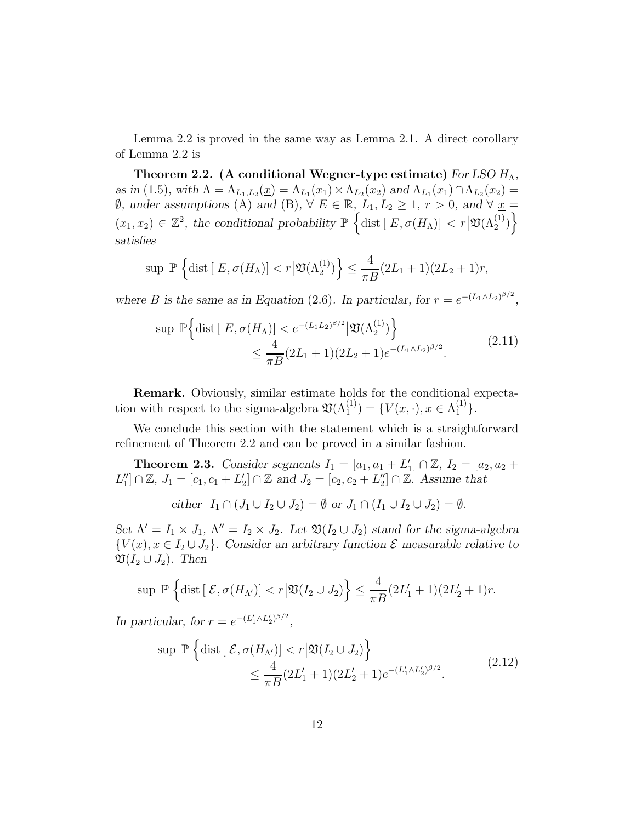Lemma 2.2 is proved in the same way as Lemma 2.1. A direct corollary of Lemma 2.2 is

Theorem 2.2. (A conditional Wegner-type estimate) *For LSO*  $H_{\Lambda}$ , *as in* (1.5), with  $\Lambda = \Lambda_{L_1, L_2}(\underline{x}) = \Lambda_{L_1}(x_1) \times \Lambda_{L_2}(x_2)$  *and*  $\Lambda_{L_1}(x_1) \cap \Lambda_{L_2}(x_2) =$ **Ø**, under assumptions (A) and (B),  $\forall$  E ∈ ℝ, L<sub>1</sub>, L<sub>2</sub> ≥ 1*,* r > 0*,* and  $\forall$  <u>x</u> =  $(x_1, x_2) \in \mathbb{Z}^2$ , the conditional probability  $\mathbb{P}\left\{\text{dist}\left[\ E, \sigma(H_\Lambda)\right] < r \big| \mathfrak{V}(\Lambda_2^{(1)})\right\}$ *satisfies*

$$
\sup \mathbb{P}\left\{\text{dist}\left[\,E, \sigma(H_{\Lambda})\right] < r\big|\mathfrak{V}(\Lambda_2^{(1)})\right\} \le \frac{4}{\pi B}(2L_1+1)(2L_2+1)r,
$$

*where B* is the same as in Equation (2.6). In particular, for  $r = e^{-(L_1 \wedge L_2)^{\beta/2}}$ ,

$$
\sup \mathbb{P}\Big\{\text{dist}\left[\ E, \sigma(H_{\Lambda})\right] < e^{-(L_1 L_2)^{\beta/2}} \left| \mathfrak{V}(\Lambda_2^{(1)}) \right\} \\ < \frac{4}{\pi B} (2L_1 + 1)(2L_2 + 1)e^{-(L_1 \Lambda L_2)^{\beta/2}}. \tag{2.11}
$$

Remark. Obviously, similar estimate holds for the conditional expectation with respect to the sigma-algebra  $\mathfrak{V}(\Lambda_1^{(1)}) = \{V(x, \cdot), x \in \Lambda_1^{(1)}\}.$ 

We conclude this section with the statement which is a straightforward refinement of Theorem 2.2 and can be proved in a similar fashion.

**Theorem 2.3.** Consider segments  $I_1 = [a_1, a_1 + L'_1] \cap \mathbb{Z}$ ,  $I_2 = [a_2, a_2 + L'_2]$  $L''_1] \cap \mathbb{Z}, J_1 = [c_1, c_1 + L'_2] \cap \mathbb{Z}$  and  $J_2 = [c_2, c_2 + L''_2] \cap \mathbb{Z}$ . Assume that

either 
$$
I_1 \cap (J_1 \cup I_2 \cup J_2) = \emptyset
$$
 or  $J_1 \cap (I_1 \cup I_2 \cup J_2) = \emptyset$ .

*Set*  $\Lambda' = I_1 \times J_1$ ,  $\Lambda'' = I_2 \times J_2$ . Let  $\mathfrak{V}(I_2 \cup J_2)$  *stand for the sigma-algebra*  ${V(x), x \in I_2 \cup J_2}$ . Consider an arbitrary function  $\mathcal E$  measurable relative to  $\mathfrak{V}(I_2 \cup J_2)$ . Then

$$
\sup \mathbb{P}\left\{\text{dist}\left[\right.\mathcal{E},\sigma(H_{\Lambda'})\right] < r\big|\mathfrak{V}(I_2\cup J_2)\right\} \leq \frac{4}{\pi B}(2L'_1+1)(2L'_2+1)r.
$$

*In particular, for*  $r = e^{-(L_1' \wedge L_2')^{\beta/2}}$ ,

$$
\sup \mathbb{P}\left\{\text{dist}\left[\mathcal{E}, \sigma(H_{\Lambda'})\right] < r \middle| \mathfrak{V}(I_2 \cup J_2)\right\} \\ < \frac{4}{\pi B} (2L'_1 + 1)(2L'_2 + 1)e^{-(L'_1 \wedge L'_2)^{\beta/2}}.\tag{2.12}
$$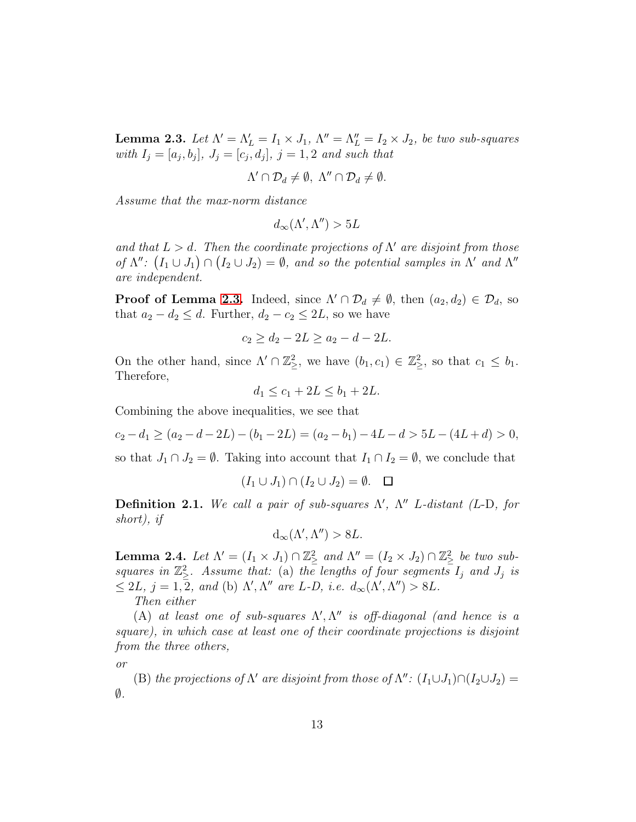<span id="page-12-0"></span>**Lemma 2.3.** Let  $\Lambda' = \Lambda'_L = I_1 \times J_1$ ,  $\Lambda'' = \Lambda''_L = I_2 \times J_2$ , be two sub-squares with  $I_j = [a_j, b_j], J_j = [c_j, d_j], j = 1, 2$  and such that

$$
\Lambda' \cap \mathcal{D}_d \neq \emptyset, \ \Lambda'' \cap \mathcal{D}_d \neq \emptyset.
$$

Assume that the max-norm distance

$$
d_\infty(\Lambda',\Lambda'')>5L
$$

and that  $L > d$ . Then the coordinate projections of  $\Lambda'$  are disjoint from those of  $\Lambda''$ :  $(I_1 \cup J_1) \cap (I_2 \cup J_2) = \emptyset$ , and so the potential samples in  $\Lambda'$  and  $\Lambda''$ are independent.

**Proof of Lemma [2.3.](#page-12-0)** Indeed, since  $\Lambda' \cap \mathcal{D}_d \neq \emptyset$ , then  $(a_2, d_2) \in \mathcal{D}_d$ , so that  $a_2 - d_2 \leq d$ . Further,  $d_2 - c_2 \leq 2L$ , so we have

$$
c_2 \ge d_2 - 2L \ge a_2 - d - 2L.
$$

On the other hand, since  $\Lambda' \cap \mathbb{Z}_{\geq}^2$ , we have  $(b_1, c_1) \in \mathbb{Z}_{\geq}^2$ , so that  $c_1 \leq b_1$ . Therefore,

$$
d_1 \le c_1 + 2L \le b_1 + 2L.
$$

Combining the above inequalities, we see that

$$
c_2 - d_1 \ge (a_2 - d - 2L) - (b_1 - 2L) = (a_2 - b_1) - 4L - d > 5L - (4L + d) > 0,
$$

so that  $J_1 \cap J_2 = \emptyset$ . Taking into account that  $I_1 \cap I_2 = \emptyset$ , we conclude that

$$
(I_1 \cup J_1) \cap (I_2 \cup J_2) = \emptyset. \quad \square
$$

**Definition 2.1.** We call a pair of sub-squares  $\Lambda'$ ,  $\Lambda''$  L-distant (L-D, for short), if

$$
d_{\infty}(\Lambda', \Lambda'') > 8L.
$$

<span id="page-12-1"></span>**Lemma 2.4.** Let  $\Lambda' = (I_1 \times J_1) \cap \mathbb{Z}_\geq^2$  and  $\Lambda'' = (I_2 \times J_2) \cap \mathbb{Z}_\geq^2$  be two subsquares in  $\mathbb{Z}_{\geq}^2$ . Assume that: (a) the lengths of four segments  $I_j$  and  $J_j$  is  $\leq 2L, j = 1, 2, and$  (b)  $\Lambda', \Lambda''$  are L-D, i.e.  $d_{\infty}(\Lambda', \Lambda'') > 8L$ . Then either

(A) at least one of sub-squares  $\Lambda', \Lambda''$  is off-diagonal (and hence is a square), in which case at least one of their coordinate projections is disjoint from the three others,

or

(B) the projections of  $\Lambda'$  are disjoint from those of  $\Lambda''$ :  $(I_1 \cup J_1) \cap (I_2 \cup J_2)$  =  $\emptyset$ .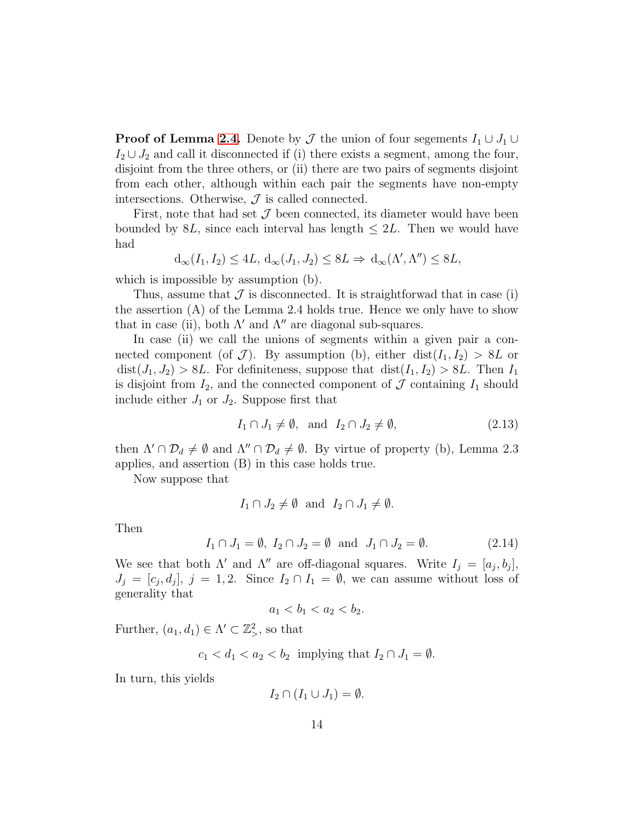**Proof of Lemma [2.4.](#page-12-1)** Denote by  $\mathcal J$  the union of four segements  $I_1 \cup J_1 \cup$  $I_2 \cup J_2$  and call it disconnected if (i) there exists a segment, among the four, disjoint from the three others, or (ii) there are two pairs of segments disjoint from each other, although within each pair the segments have non-empty intersections. Otherwise,  $J$  is called connected.

First, note that had set  $\mathcal J$  been connected, its diameter would have been bounded by 8L, since each interval has length  $\leq 2L$ . Then we would have had

$$
d_{\infty}(I_1, I_2) \le 4L, d_{\infty}(J_1, J_2) \le 8L \Rightarrow d_{\infty}(\Lambda', \Lambda'') \le 8L,
$$

which is impossible by assumption  $(b)$ .

Thus, assume that  $\mathcal J$  is disconnected. It is straightforwad that in case (i) the assertion (A) of the Lemma 2.4 holds true. Hence we only have to show that in case (ii), both  $\Lambda'$  and  $\Lambda''$  are diagonal sub-squares.

In case (ii) we call the unions of segments within a given pair a connected component (of  $\mathcal{J}$ ). By assumption (b), either dist( $I_1, I_2$ ) > 8L or  $dist(J_1, J_2) > 8L$ . For definiteness, suppose that  $dist(I_1, I_2) > 8L$ . Then  $I_1$ is disjoint from  $I_2$ , and the connected component of  $\mathcal J$  containing  $I_1$  should include either  $J_1$  or  $J_2$ . Suppose first that

$$
I_1 \cap J_1 \neq \emptyset, \text{ and } I_2 \cap J_2 \neq \emptyset,
$$
\n
$$
(2.13)
$$

then  $\Lambda' \cap \mathcal{D}_d \neq \emptyset$  and  $\Lambda'' \cap \mathcal{D}_d \neq \emptyset$ . By virtue of property (b), Lemma 2.3 applies, and assertion (B) in this case holds true.

Now suppose that

$$
I_1 \cap J_2 \neq \emptyset
$$
 and  $I_2 \cap J_1 \neq \emptyset$ .

Then

$$
I_1 \cap J_1 = \emptyset, I_2 \cap J_2 = \emptyset \quad \text{and} \quad J_1 \cap J_2 = \emptyset. \tag{2.14}
$$

We see that both  $\Lambda'$  and  $\Lambda''$  are off-diagonal squares. Write  $I_j = [a_j, b_j]$ ,  $J_j = [c_j, d_j], j = 1, 2.$  Since  $I_2 \cap I_1 = \emptyset$ , we can assume without loss of generality that

$$
a_1 < b_1 < a_2 < b_2.
$$

Further,  $(a_1, d_1) \in \Lambda' \subset \mathbb{Z}_>^2$ , so that

$$
c_1 < d_1 < a_2 < b_2 \text{ implying that } I_2 \cap J_1 = \emptyset.
$$

In turn, this yields

$$
I_2 \cap (I_1 \cup J_1) = \emptyset.
$$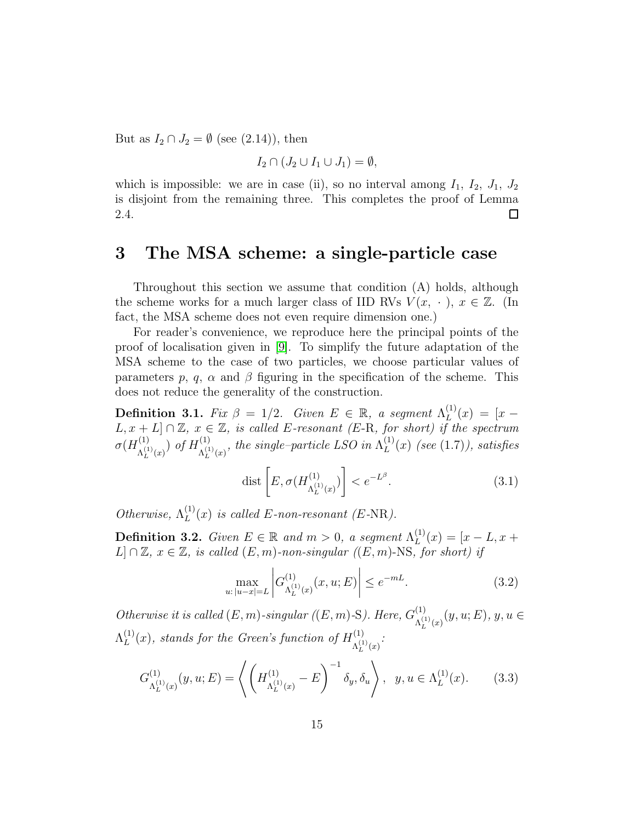But as  $I_2 \cap J_2 = \emptyset$  (see (2.14)), then

$$
I_2 \cap (J_2 \cup I_1 \cup J_1) = \emptyset,
$$

which is impossible: we are in case (ii), so no interval among  $I_1$ ,  $I_2$ ,  $J_1$ ,  $J_2$ is disjoint from the remaining three. This completes the proof of Lemma 2.4.  $\Box$ 

# 3 The MSA scheme: a single-particle case

Throughout this section we assume that condition (A) holds, although the scheme works for a much larger class of IID RVs  $V(x, \cdot), x \in \mathbb{Z}$ . (In fact, the MSA scheme does not even require dimension one.)

For reader's convenience, we reproduce here the principal points of the proof of localisation given in [\[9\]](#page-35-0). To simplify the future adaptation of the MSA scheme to the case of two particles, we choose particular values of parameters p, q,  $\alpha$  and  $\beta$  figuring in the specification of the scheme. This does not reduce the generality of the construction.

**Definition 3.1.** Fix  $\beta = 1/2$ . Given  $E \in \mathbb{R}$ , a segment  $\Lambda_L^{(1)}$  $L^{(1)}(x) = [x [L, x + L] \cap \mathbb{Z}, x \in \mathbb{Z},$  is called E-resonant (E-R, for short) if the spectrum  $\sigma(H^{(1)}_{\scriptscriptstyle{\lambda}(1)}$  $\lambda_L^{(1)}(x)$  of  $H_{\Lambda_L^{(1)}}^{(1)}$  $\Lambda^{(1)}_L{}_{(x)},$  the single-particle LSO in  $\Lambda^{(1)}_L{}$  $L^{(1)}(x)$  (see (1.7)), satisfies

$$
\text{dist}\left[E, \sigma(H_{\Lambda_L^{(1)}(x)}^{(1)})\right] < e^{-L^{\beta}}.\tag{3.1}
$$

Otherwise,  $\Lambda_L^{(1)}$  $L^{(1)}(x)$  is called E-non-resonant (E-NR).

**Definition 3.2.** Given  $E \in \mathbb{R}$  and  $m > 0$ , a segment  $\Lambda_L^{(1)}$  $L^{(1)}(x) = [x - L, x +$  $L] \cap \mathbb{Z}, x \in \mathbb{Z},$  is called  $(E, m)$ -non-singular  $((E, m)$ -NS, for short) if

$$
\max_{u: |u-x|=L} \left| G^{(1)}_{\Lambda_L^{(1)}(x)}(x, u; E) \right| \le e^{-mL}.
$$
\n(3.2)

Otherwise it is called  $(E, m)$ -singular  $((E, m)$ -S). Here,  $G_{(1)}^{(1)}$  $\Lambda_L^{(1)}_{L}(x)(y,u;E), y, u \in$  $\Lambda_L^{(1)}$  $L^{(1)}(x)$ , stands for the Green's function of  $H^{(1)}_{\Lambda^{(1)}}$  $\Lambda_L^{(1)}(x)$  :

$$
G_{\Lambda_L^{(1)}(x)}^{(1)}(y,u;E) = \left\langle \left( H_{\Lambda_L^{(1)}(x)}^{(1)} - E \right)^{-1} \delta_y, \delta_u \right\rangle, \ y, u \in \Lambda_L^{(1)}(x). \tag{3.3}
$$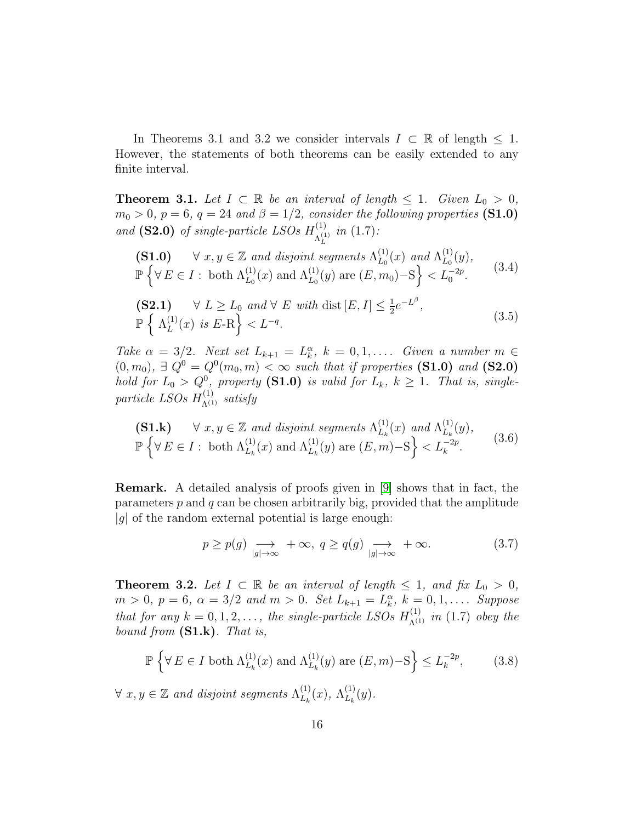In Theorems 3.1 and 3.2 we consider intervals  $I \subset \mathbb{R}$  of length  $\leq 1$ . However, the statements of both theorems can be easily extended to any finite interval.

<span id="page-15-1"></span>**Theorem 3.1.** Let  $I \subset \mathbb{R}$  be an interval of length  $\leq 1$ . Given  $L_0 > 0$ ,  $m_0 > 0$ ,  $p = 6$ ,  $q = 24$  and  $\beta = 1/2$ , consider the following properties (S1.0) and (S2.0) of single-particle LSOs  $H_{\lambda}^{(1)}$  $\Lambda_L^{(1)}$  in (1.7):

$$
\begin{array}{ll}\n\textbf{(S1.0)} & \forall \ x, y \in \mathbb{Z} \text{ and disjoint segments } \Lambda_{L_0}^{(1)}(x) \text{ and } \Lambda_{L_0}^{(1)}(y), \\
\mathbb{P}\left\{\forall \ E \in I : \text{ both } \Lambda_{L_0}^{(1)}(x) \text{ and } \Lambda_{L_0}^{(1)}(y) \text{ are } (E, m_0) - \mathcal{S}\right\} < L_0^{-2p}.\n\end{array} \tag{3.4}
$$

$$
\begin{aligned} \textbf{(S2.1)} \quad & \forall \ L \ge L_0 \ and \ \forall \ E \ with \ \text{dist} \left[ E, I \right] \le \frac{1}{2} e^{-L^{\beta}}, \\ \mathbb{P} \left\{ \Lambda_L^{(1)}(x) \ \text{is} \ E \text{-R} \right\} < L^{-q}. \end{aligned} \tag{3.5}
$$

Take  $\alpha = 3/2$ . Next set  $L_{k+1} = L_k^{\alpha}$ ,  $k = 0, 1, \ldots$ . Given a number  $m \in$  $(0, m_0)$ ,  $\exists Q^0 = Q^0(m_0, m) < \infty$  such that if properties (S1.0) and (S2.0) hold for  $L_0 > Q^0$ , property (S1.0) is valid for  $L_k$ ,  $k \geq 1$ . That is, singleparticle LSOs  $H^{(1)}_{\Lambda^{(1)}}$  satisfy

$$
\begin{array}{ll}\n\textbf{(S1.k)} & \forall \ x, y \in \mathbb{Z} \text{ and disjoint segments } \Lambda_{L_k}^{(1)}(x) \text{ and } \Lambda_{L_k}^{(1)}(y), \\
\mathbb{P}\left\{\forall \ E \in I : \text{ both } \Lambda_{L_k}^{(1)}(x) \text{ and } \Lambda_{L_k}^{(1)}(y) \text{ are } (E, m) - \mathcal{S}\right\} < L_k^{-2p}.\n\end{array} \tag{3.6}
$$

Remark. A detailed analysis of proofs given in [\[9\]](#page-35-0) shows that in fact, the parameters  $p$  and  $q$  can be chosen arbitrarily big, provided that the amplitude  $|g|$  of the random external potential is large enough:

$$
p \ge p(g) \underset{|g| \to \infty}{\longrightarrow} +\infty, \ q \ge q(g) \underset{|g| \to \infty}{\longrightarrow} +\infty. \tag{3.7}
$$

<span id="page-15-0"></span>**Theorem 3.2.** Let  $I \subset \mathbb{R}$  be an interval of length  $\leq 1$ , and fix  $L_0 > 0$ ,  $m > 0, p = 6, \ \alpha = 3/2 \ \text{and} \ m > 0. \ \text{Set } L_{k+1} = L_k^{\alpha}, k = 0, 1, \ldots. \ \text{Suppose}$ that for any  $k = 0, 1, 2, \ldots$ , the single-particle LSOs  $H_{\Lambda^{(1)}}^{(1)}$  in (1.7) obey the bound from  $(S1.k)$ . That is,

$$
\mathbb{P}\left\{\forall E \in I \text{ both } \Lambda_{L_k}^{(1)}(x) \text{ and } \Lambda_{L_k}^{(1)}(y) \text{ are } (E, m) - S\right\} \le L_k^{-2p},\tag{3.8}
$$

 $\forall x, y \in \mathbb{Z}$  and disjoint segments  $\Lambda_{L_n}^{(1)}$  $\Lambda_{L_k}^{(1)}(x)$ ,  $\Lambda_{L_k}^{(1)}$  $L_k^{(1)}(y)$ .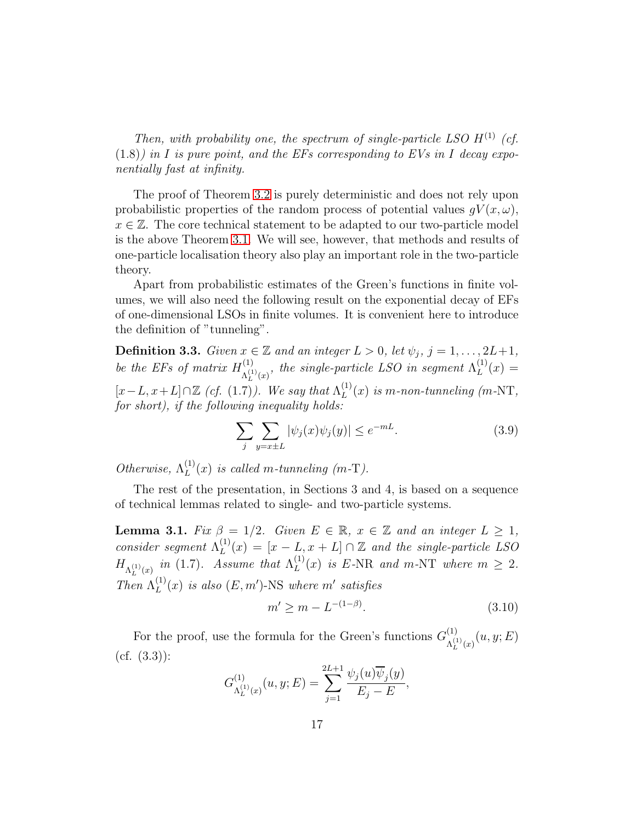Then, with probability one, the spectrum of single-particle LSO  $H^{(1)}$  (cf.  $(1.8)$ ) in I is pure point, and the EFs corresponding to EVs in I decay exponentially fast at infinity.

The proof of Theorem [3.2](#page-15-0) is purely deterministic and does not rely upon probabilistic properties of the random process of potential values  $gV(x, \omega)$ ,  $x \in \mathbb{Z}$ . The core technical statement to be adapted to our two-particle model is the above Theorem [3.1.](#page-15-1) We will see, however, that methods and results of one-particle localisation theory also play an important role in the two-particle theory.

Apart from probabilistic estimates of the Green's functions in finite volumes, we will also need the following result on the exponential decay of EFs of one-dimensional LSOs in finite volumes. It is convenient here to introduce the definition of "tunneling".

<span id="page-16-0"></span>**Definition 3.3.** Given  $x \in \mathbb{Z}$  and an integer  $L > 0$ , let  $\psi_j$ ,  $j = 1, \ldots, 2L+1$ , be the EFs of matrix  $H^{(1)}_{\lambda^{(1)}}$  $\Lambda_{L}^{(1)}(x)$ , the single-particle LSO in segment  $\Lambda_{L}^{(1)}$  $[x-L, x+L] \cap \mathbb{Z}$  (cf. (1.7)). We say that  $\Lambda_L^{(1)}$  $L^{(1)}(x) =$  $L^{(1)}(x)$  is m-non-tunneling (m-NT, for short), if the following inequality holds:

$$
\sum_{j} \sum_{y=x\pm L} |\psi_j(x)\psi_j(y)| \le e^{-mL}.\tag{3.9}
$$

Otherwise,  $\Lambda_L^{(1)}$  $L^{(1)}(x)$  is called m-tunneling (m-T).

The rest of the presentation, in Sections 3 and 4, is based on a sequence of technical lemmas related to single- and two-particle systems.

**Lemma 3.1.** Fix  $\beta = 1/2$ . Given  $E \in \mathbb{R}$ ,  $x \in \mathbb{Z}$  and an integer  $L \geq 1$ , consider segment  $\Lambda_L^{(1)}$  $L^{(1)}(x) = [x - L, x + L] \cap \mathbb{Z}$  and the single-particle LSO  $H_{\Lambda_L^{(1)}(x)}$  in (1.7). Assume that  $\Lambda_L^{(1)}$  $L^{(1)}(x)$  is E-NR and m-NT where  $m \geq 2$ . Then  $\Lambda_L^{(1)}$  $L^{(1)}(x)$  is also  $(E, m')$ -NS where m' satisfies

$$
m' \ge m - L^{-(1-\beta)}.\tag{3.10}
$$

For the proof, use the formula for the Green's functions  $G_{\mu}^{(1)}$  $\Lambda_L^{(1)}(x)(u,y;E)$  $(cf. (3.3))$ :

$$
G_{\Lambda_L^{(1)}(x)}^{(1)}(u,y;E) = \sum_{j=1}^{2L+1} \frac{\psi_j(u)\overline{\psi}_j(y)}{E_j - E},
$$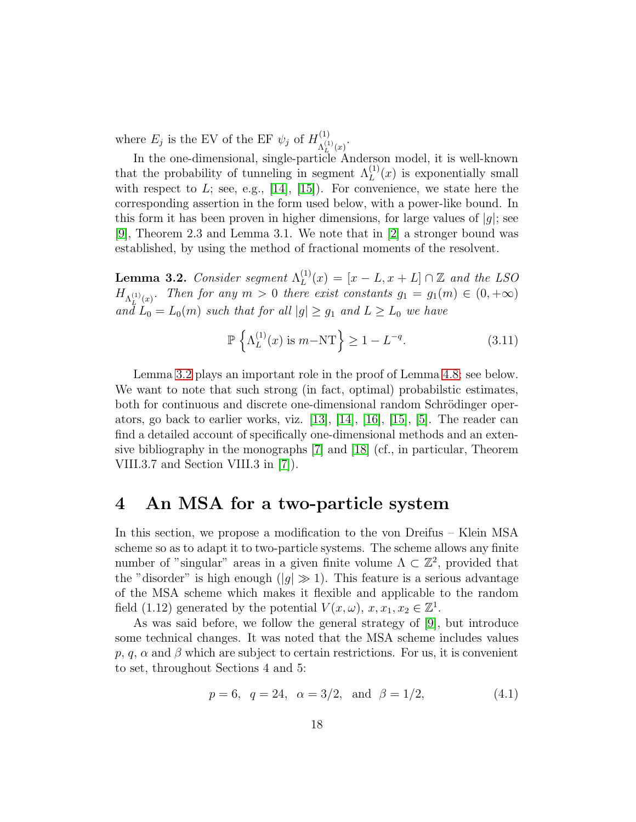where  $E_j$  is the EV of the EF  $\psi_j$  of  $H^{(1)}_{\Lambda^{(1)}}$  $\Lambda^{(1)}_{L}(x)$ .

In the one-dimensional, single-particle Anderson model, it is well-known that the probability of tunneling in segment  $\Lambda_L^{(1)}(x)$  is exponentially small with respect to  $L$ ; see, e.g., [\[14\]](#page-35-1), [\[15\]](#page-35-5)). For convenience, we state here the corresponding assertion in the form used below, with a power-like bound. In this form it has been proven in higher dimensions, for large values of  $|q|$ ; see [\[9\]](#page-35-0), Theorem 2.3 and Lemma 3.1. We note that in [\[2\]](#page-34-1) a stronger bound was established, by using the method of fractional moments of the resolvent.

<span id="page-17-0"></span>**Lemma 3.2.** Consider segment  $\Lambda_L^{(1)}$  $L^{(1)}(x) = [x - L, x + L] \cap \mathbb{Z}$  and the LSO  $H_{\Lambda_L^{(1)}(x)}$ . Then for any  $m > 0$  there exist constants  $g_1 = g_1(m) \in (0, +\infty)$ and  $L_0 = L_0(m)$  such that for all  $|g| \ge g_1$  and  $L \ge L_0$  we have

$$
\mathbb{P}\left\{\Lambda_L^{(1)}(x) \text{ is } m-\text{NT}\right\} \ge 1 - L^{-q}.\tag{3.11}
$$

Lemma [3.2](#page-17-0) plays an important role in the proof of Lemma [4.8;](#page-25-0) see below. We want to note that such strong (in fact, optimal) probabilstic estimates, both for continuous and discrete one-dimensional random Schrödinger operators, go back to earlier works, viz. [\[13\]](#page-35-6), [\[14\]](#page-35-1), [\[16\]](#page-35-7), [\[15\]](#page-35-5), [\[5\]](#page-34-4). The reader can find a detailed account of specifically one-dimensional methods and an extensive bibliography in the monographs [\[7\]](#page-34-3) and [\[18\]](#page-35-8) (cf., in particular, Theorem VIII.3.7 and Section VIII.3 in [\[7\]](#page-34-3)).

### 4 An MSA for a two-particle system

In this section, we propose a modification to the von Dreifus – Klein MSA scheme so as to adapt it to two-particle systems. The scheme allows any finite number of "singular" areas in a given finite volume  $\Lambda \subset \mathbb{Z}^2$ , provided that the "disorder" is high enough ( $|g| \gg 1$ ). This feature is a serious advantage of the MSA scheme which makes it flexible and applicable to the random field (1.12) generated by the potential  $V(x, \omega)$ ,  $x, x_1, x_2 \in \mathbb{Z}^1$ .

As was said before, we follow the general strategy of [\[9\]](#page-35-0), but introduce some technical changes. It was noted that the MSA scheme includes values p, q,  $\alpha$  and  $\beta$  which are subject to certain restrictions. For us, it is convenient to set, throughout Sections 4 and 5:

$$
p = 6, q = 24, \alpha = 3/2, \text{ and } \beta = 1/2,
$$
 (4.1)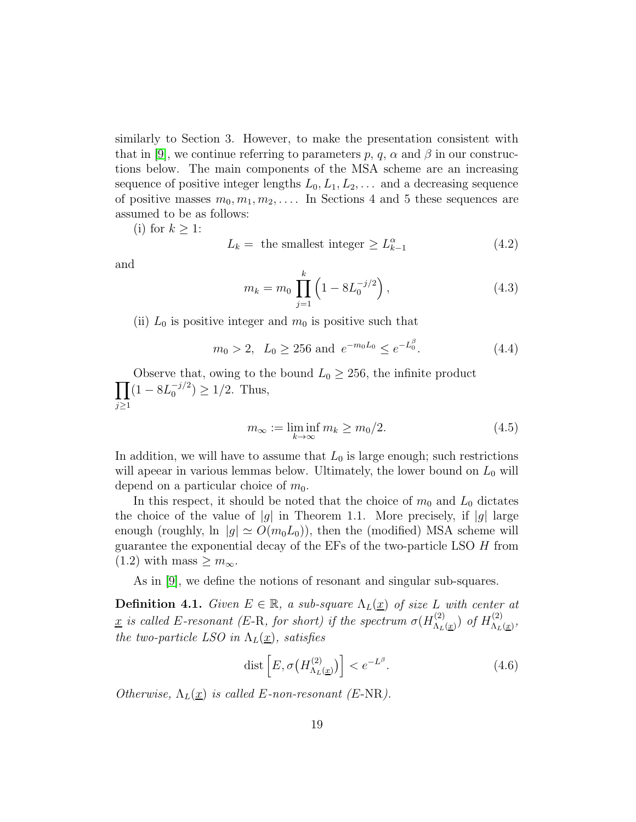similarly to Section 3. However, to make the presentation consistent with that in [\[9\]](#page-35-0), we continue referring to parameters p, q,  $\alpha$  and  $\beta$  in our constructions below. The main components of the MSA scheme are an increasing sequence of positive integer lengths  $L_0, L_1, L_2, \ldots$  and a decreasing sequence of positive masses  $m_0, m_1, m_2, \ldots$  In Sections 4 and 5 these sequences are assumed to be as follows:

(i) for  $k \geq 1$ :

$$
L_k = \text{ the smallest integer } \ge L_{k-1}^{\alpha} \tag{4.2}
$$

and

$$
m_k = m_0 \prod_{j=1}^k \left( 1 - 8L_0^{-j/2} \right), \tag{4.3}
$$

(ii)  $L_0$  is positive integer and  $m_0$  is positive such that

$$
m_0 > 2
$$
,  $L_0 \ge 256$  and  $e^{-m_0 L_0} \le e^{-L_0^{\beta}}$ . (4.4)

 $\overline{\Pi}$ Observe that, owing to the bound  $L_0 \geq 256$ , the infinite product  $j \geq 1$  $(1 - 8L_0^{-j/2})$  $j_0^{-j/2}) \geq 1/2$ . Thus,

$$
m_{\infty} := \liminf_{k \to \infty} m_k \ge m_0/2. \tag{4.5}
$$

In addition, we will have to assume that  $L_0$  is large enough; such restrictions will apeear in various lemmas below. Ultimately, the lower bound on  $L_0$  will depend on a particular choice of  $m_0$ .

In this respect, it should be noted that the choice of  $m_0$  and  $L_0$  dictates the choice of the value of  $|g|$  in Theorem 1.1. More precisely, if  $|g|$  large enough (roughly, ln  $|g| \simeq O(m_0L_0)$ ), then the (modified) MSA scheme will guarantee the exponential decay of the EFs of the two-particle LSO H from  $(1.2)$  with mass  $\geq m_{\infty}$ .

As in [\[9\]](#page-35-0), we define the notions of resonant and singular sub-squares.

**Definition 4.1.** Given  $E \in \mathbb{R}$ , a sub-square  $\Lambda_L(\underline{x})$  of size L with center at <u>x</u> is called E-resonant (E-R, for short) if the spectrum  $\sigma(H_{\Lambda}^{(2)})$  $\lambda_{L\,(\underline{x})}^{(2)})$  of  $H^{(2)}_{\Lambda_L}$  $\Lambda_L(\underline{x})$ , the two-particle LSO in  $\Lambda_L(\underline{x})$ , satisfies

$$
\text{dist}\left[E, \sigma\big(H_{\Lambda_L(\underline{x})}^{(2)}\big)\right] < e^{-L^{\beta}}.\tag{4.6}
$$

Otherwise,  $\Lambda_L(\underline{x})$  is called E-non-resonant (E-NR).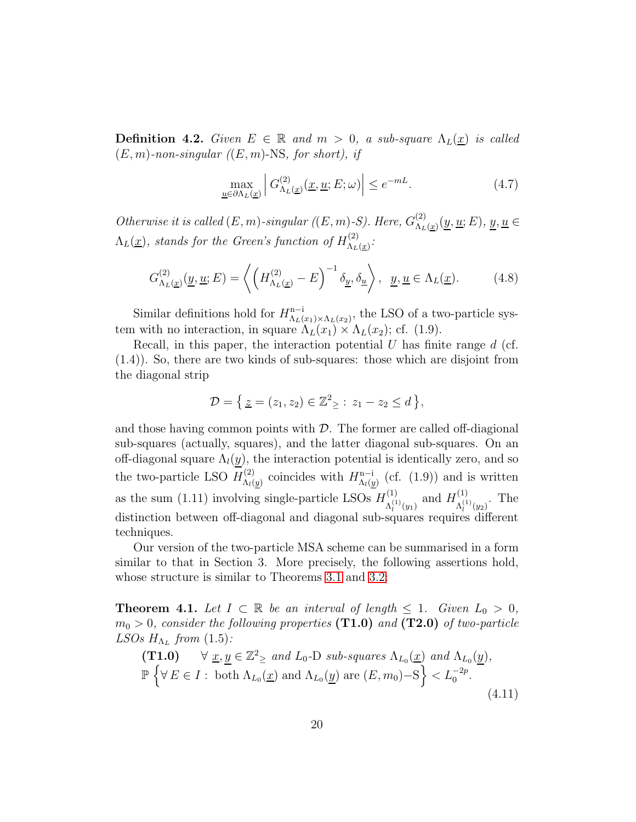**Definition 4.2.** Given  $E \in \mathbb{R}$  and  $m > 0$ , a sub-square  $\Lambda_L(\underline{x})$  is called  $(E, m)$ -non-singular  $((E, m)$ -NS, for short), if

$$
\max_{\underline{u}\in\partial\Lambda_L(\underline{x})}\left|G_{\Lambda_L(\underline{x})}^{(2)}(\underline{x},\underline{u};E;\omega)\right|\le e^{-mL}.\tag{4.7}
$$

Otherwise it is called  $(E, m)$ -singular  $((E, m)$ -S). Here,  $G_{\Lambda_L}^{(2)}$  $\chi_{L(\underline{x})}^{(2)}(\underline{y},\underline{u};E), \underline{y},\underline{u} \in$  $\Lambda_L(\underline{x})$ , stands for the Green's function of  $H_{\Lambda_L}^{(2)}$  $\frac{\Lambda_L(z)}{\Lambda_L(\underline{x})}$ :

$$
G_{\Lambda_L(\underline{x})}^{(2)}(\underline{y}, \underline{u}; E) = \left\langle \left( H_{\Lambda_L(\underline{x})}^{(2)} - E \right)^{-1} \delta_{\underline{y}}, \delta_{\underline{u}} \right\rangle, \ \ \underline{y}, \underline{u} \in \Lambda_L(\underline{x}). \tag{4.8}
$$

Similar definitions hold for  $H_{\Lambda_L}^{n-1}$  $\Lambda_{L}(x_1)\times\Lambda_{L}(x_2)$ , the LSO of a two-particle system with no interaction, in square  $\Lambda_L(x_1) \times \Lambda_L(x_2)$ ; cf. (1.9).

Recall, in this paper, the interaction potential  $U$  has finite range  $d$  (cf. (1.4)). So, there are two kinds of sub-squares: those which are disjoint from the diagonal strip

$$
\mathcal{D} = \{ \underline{z} = (z_1, z_2) \in \mathbb{Z}^2 \geq : z_1 - z_2 \leq d \},
$$

and those having common points with  $\mathcal{D}$ . The former are called off-diagional sub-squares (actually, squares), and the latter diagonal sub-squares. On an off-diagonal square  $\Lambda_l(y)$ , the interaction potential is identically zero, and so the two-particle LSO  $H_{\Lambda}^{(2)}$  $\Lambda_l(y)$  coincides with  $H^{n-i}_{\Lambda_l(y)}$  $\Lambda_{l}(y)$  (cf. (1.9)) and is written as the sum (1.11) involving single-particle LSOs  $H_{\lambda}^{(1)}$  $A_l^{(1)}(y_1)$  and  $H_{\Lambda_l^{(1)}}^{(1)}$  $\Lambda_l^{(1)}(y_2)$ . The distinction between off-diagonal and diagonal sub-squares requires different techniques.

Our version of the two-particle MSA scheme can be summarised in a form similar to that in Section 3. More precisely, the following assertions hold, whose structure is similar to Theorems [3.1](#page-15-1) and [3.2:](#page-15-0)

<span id="page-19-0"></span>**Theorem 4.1.** Let  $I \subset \mathbb{R}$  be an interval of length  $\leq 1$ . Given  $L_0 > 0$ ,  $m_0 > 0$ , consider the following properties (T1.0) and (T2.0) of two-particle LSOs  $H_{\Lambda_L}$  from (1.5):

(T1.0) 
$$
\forall \underline{x}, \underline{y} \in \mathbb{Z}^2_{\geq}
$$
 and  $L_0$ -D sub-squares  $\Lambda_{L_0}(\underline{x})$  and  $\Lambda_{L_0}(\underline{y})$ ,  
\n $\mathbb{P}\left\{\forall E \in I : \text{ both } \Lambda_{L_0}(\underline{x}) \text{ and } \Lambda_{L_0}(\underline{y}) \text{ are } (E, m_0) - S\right\} < L_0^{-2p}.$ \n(4.11)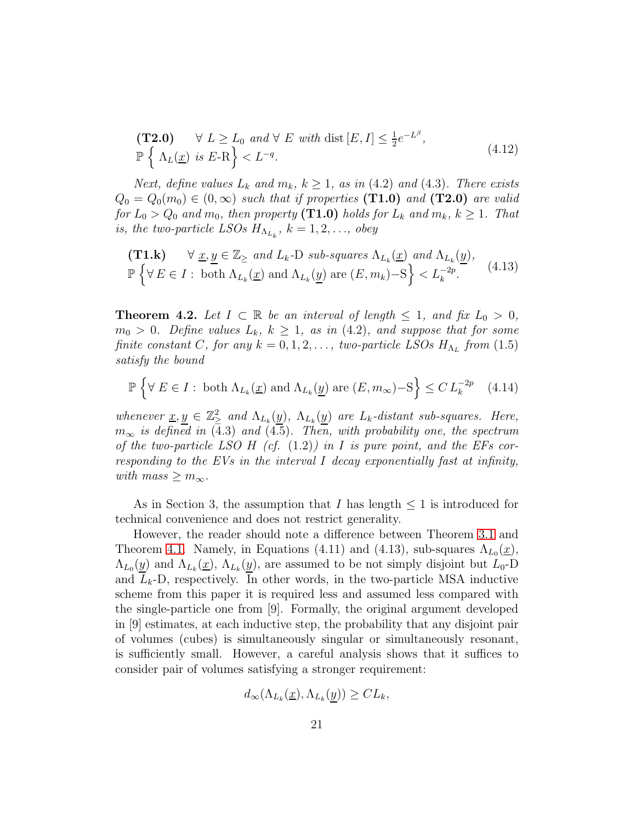$$
\begin{aligned} \textbf{(T2.0)} \quad & \forall \ L \ge L_0 \ and \ \forall \ E \ with \ \text{dist} \ [E, I] \le \frac{1}{2} e^{-L^{\beta}}, \\ \mathbb{P} \left\{ \Lambda_L(\underline{x}) \ \text{is} \ E - \mathcal{R} \right\} < L^{-q}. \end{aligned} \tag{4.12}
$$

Next, define values  $L_k$  and  $m_k$ ,  $k \geq 1$ , as in (4.2) and (4.3). There exists  $Q_0 = Q_0(m_0) \in (0,\infty)$  such that if properties (T1.0) and (T2.0) are valid for  $L_0 > Q_0$  and  $m_0$ , then property (**T1.0**) holds for  $L_k$  and  $m_k$ ,  $k \geq 1$ . That is, the two-particle LSOs  $H_{\Lambda_{L_k}}$ ,  $k = 1, 2, \ldots$ , obey

(T1.k) 
$$
\forall \underline{x}, \underline{y} \in \mathbb{Z}_{\ge}
$$
 and  $L_k$ -D sub-squares  $\Lambda_{L_k}(\underline{x})$  and  $\Lambda_{L_k}(\underline{y})$ ,  
\n $\mathbb{P}\left\{\forall E \in I : \text{ both } \Lambda_{L_k}(\underline{x}) \text{ and } \Lambda_{L_k}(\underline{y}) \text{ are } (E, m_k) - S\right\} < L_k^{-2p}.$  (4.13)

<span id="page-20-0"></span>**Theorem 4.2.** Let  $I \subset \mathbb{R}$  be an interval of length  $\leq 1$ , and fix  $L_0 > 0$ ,  $m_0 > 0$ . Define values  $L_k$ ,  $k \geq 1$ , as in (4.2), and suppose that for some finite constant C, for any  $k = 0, 1, 2, \ldots$ , two-particle LSOs  $H_{\Lambda_L}$  from  $(1.5)$ satisfy the bound

$$
\mathbb{P}\left\{\forall E \in I : \text{ both } \Lambda_{L_k}(\underline{x}) \text{ and } \Lambda_{L_k}(\underline{y}) \text{ are } (E, m_{\infty}) - S\right\} \leq C L_k^{-2p} \quad (4.14)
$$

whenever  $\underline{x}, \underline{y} \in \mathbb{Z}_{\geq}^2$  and  $\Lambda_{L_k}(\underline{y})$ ,  $\Lambda_{L_k}(\underline{y})$  are  $L_k$ -distant sub-squares. Here,  $m_{\infty}$  is defined in (4.3) and (4.5). Then, with probability one, the spectrum of the two-particle LSO H (cf.  $(1.2)$ ) in I is pure point, and the EFs corresponding to the EVs in the interval I decay exponentially fast at infinity, with mass  $\geq m_{\infty}$ .

As in Section 3, the assumption that I has length  $\leq 1$  is introduced for technical convenience and does not restrict generality.

However, the reader should note a difference between Theorem [3.1](#page-15-1) and Theorem [4.1.](#page-19-0) Namely, in Equations (4.11) and (4.13), sub-squares  $\Lambda_{L_0}(\underline{x})$ ,  $\Lambda_{L_0}(\underline{y})$  and  $\Lambda_{L_k}(\underline{x})$ ,  $\Lambda_{L_k}(\underline{y})$ , are assumed to be not simply disjoint but  $L_0$ -D and  $L_k$ -D, respectively. In other words, in the two-particle MSA inductive scheme from this paper it is required less and assumed less compared with the single-particle one from [9]. Formally, the original argument developed in [9] estimates, at each inductive step, the probability that any disjoint pair of volumes (cubes) is simultaneously singular or simultaneously resonant, is sufficiently small. However, a careful analysis shows that it suffices to consider pair of volumes satisfying a stronger requirement:

$$
d_{\infty}(\Lambda_{L_k}(\underline{x}), \Lambda_{L_k}(\underline{y})) \geq CL_k,
$$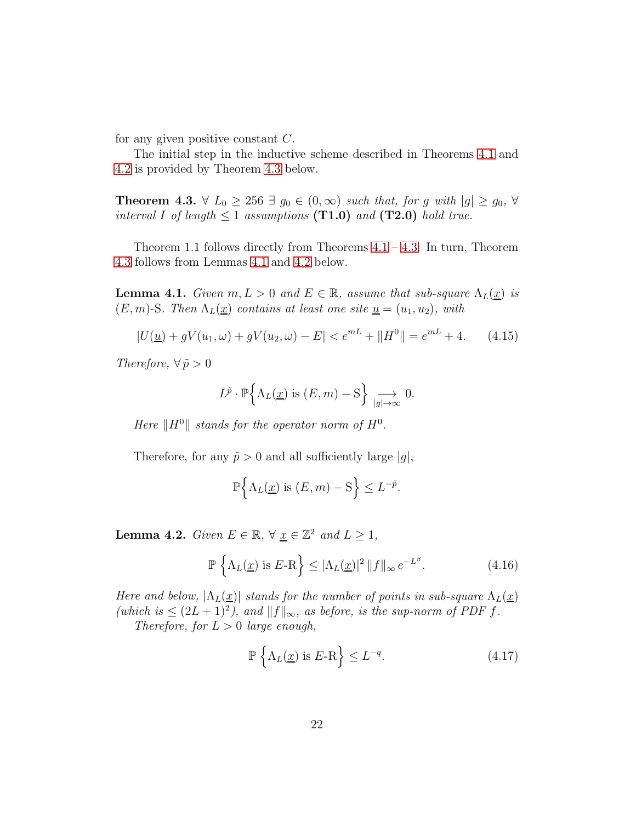for any given positive constant C.

The initial step in the inductive scheme described in Theorems [4.1](#page-19-0) and [4.2](#page-20-0) is provided by Theorem [4.3](#page-21-0) below.

<span id="page-21-0"></span>**Theorem 4.3.**  $\forall L_0 \geq 256 \exists g_0 \in (0, \infty) \text{ such that, for } g \text{ with } |g| \geq g_0, \forall$ interval I of length  $\leq 1$  assumptions (T1.0) and (T2.0) hold true.

Theorem 1.1 follows directly from Theorems  $4.1 - 4.3$ . In turn, Theorem [4.3](#page-21-0) follows from Lemmas [4.1](#page-21-1) and [4.2](#page-21-2) below.

<span id="page-21-1"></span>**Lemma 4.1.** Given  $m, L > 0$  and  $E \in \mathbb{R}$ , assume that sub-square  $\Lambda_L(\underline{x})$  is  $(E, m)$ -S. Then  $\Lambda_L(\underline{x})$  contains at least one site  $\underline{u} = (u_1, u_2)$ , with

$$
|U(\underline{u}) + gV(u_1, \omega) + gV(u_2, \omega) - E| < e^{mL} + ||H^0|| = e^{mL} + 4. \tag{4.15}
$$

Therefore,  $\forall \tilde{p} > 0$ 

$$
L^{\tilde{p}} \cdot \mathbb{P}\left\{\Lambda_L(\underline{x}) \text{ is } (E, m) - S\right\} \underset{|g| \to \infty}{\longrightarrow} 0.
$$

Here  $||H^0||$  stands for the operator norm of  $H^0$ .

Therefore, for any  $\tilde{p} > 0$  and all sufficiently large  $|q|$ ,

$$
\mathbb{P}\Big\{\Lambda_L(\underline{x})\text{ is }(E,m)-\mathcal{S}\Big\}\leq L^{-\tilde{p}}.
$$

<span id="page-21-2"></span>**Lemma 4.2.** Given  $E \in \mathbb{R}$ ,  $\forall \underline{x} \in \mathbb{Z}^2$  and  $L \geq 1$ ,

$$
\mathbb{P}\left\{\Lambda_L(\underline{x}) \text{ is } E\text{-R}\right\} \le |\Lambda_L(\underline{x})|^2 \|f\|_{\infty} e^{-L^{\beta}}.
$$
\n(4.16)

Here and below,  $|\Lambda_L(\underline{x})|$  stands for the number of points in sub-square  $\Lambda_L(\underline{x})$ (which is  $\leq (2L+1)^2$ ), and  $||f||_{\infty}$ , as before, is the sup-norm of PDF f. Therefore, for  $L > 0$  large enough,

$$
\mathbb{P}\left\{\Lambda_L(\underline{x}) \text{ is } E\text{-R}\right\} \le L^{-q}.\tag{4.17}
$$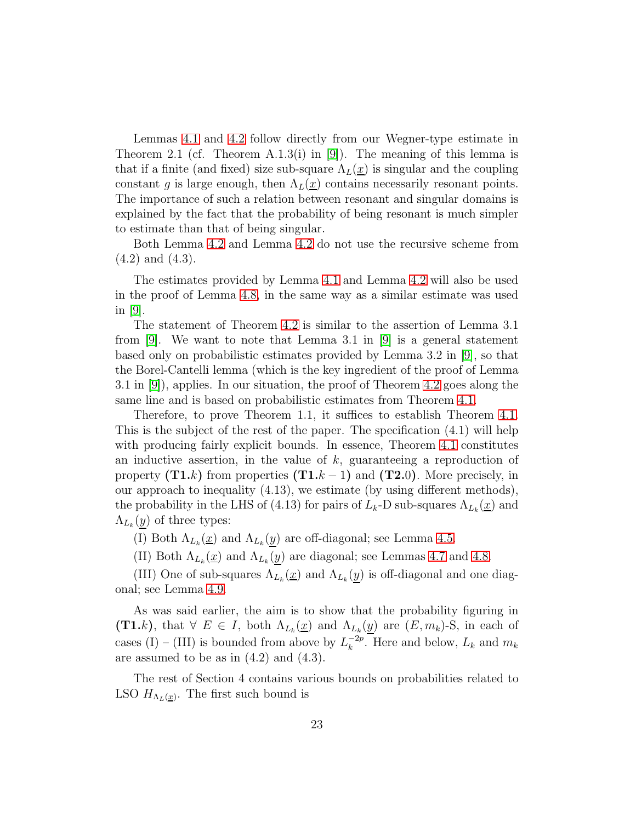Lemmas [4.1](#page-21-1) and [4.2](#page-21-2) follow directly from our Wegner-type estimate in Theorem 2.1 (cf. Theorem A.1.3(i) in [\[9\]](#page-35-0)). The meaning of this lemma is that if a finite (and fixed) size sub-square  $\Lambda_L(\underline{x})$  is singular and the coupling constant g is large enough, then  $\Lambda_L(\underline{x})$  contains necessarily resonant points. The importance of such a relation between resonant and singular domains is explained by the fact that the probability of being resonant is much simpler to estimate than that of being singular.

Both Lemma [4.2](#page-21-2) and Lemma [4.2](#page-21-2) do not use the recursive scheme from (4.2) and (4.3).

The estimates provided by Lemma [4.1](#page-21-1) and Lemma [4.2](#page-21-2) will also be used in the proof of Lemma [4.8,](#page-25-0) in the same way as a similar estimate was used in [\[9\]](#page-35-0).

The statement of Theorem [4.2](#page-20-0) is similar to the assertion of Lemma 3.1 from [\[9\]](#page-35-0). We want to note that Lemma 3.1 in [\[9\]](#page-35-0) is a general statement based only on probabilistic estimates provided by Lemma 3.2 in [\[9\]](#page-35-0), so that the Borel-Cantelli lemma (which is the key ingredient of the proof of Lemma 3.1 in [\[9\]](#page-35-0)), applies. In our situation, the proof of Theorem [4.2](#page-20-0) goes along the same line and is based on probabilistic estimates from Theorem [4.1.](#page-19-0)

Therefore, to prove Theorem 1.1, it suffices to establish Theorem [4.1.](#page-19-0) This is the subject of the rest of the paper. The specification (4.1) will help with producing fairly explicit bounds. In essence, Theorem [4.1](#page-19-0) constitutes an inductive assertion, in the value of  $k$ , guaranteeing a reproduction of property  $(T1.k)$  from properties  $(T1.k - 1)$  and  $(T2.0)$ . More precisely, in our approach to inequality (4.13), we estimate (by using different methods), the probability in the LHS of (4.13) for pairs of  $L_k$ -D sub-squares  $\Lambda_{L_k}(\underline{x})$  and  $\Lambda_{L_k}(\underline{y})$  of three types:

(I) Both  $\Lambda_{L_k}(\underline{x})$  and  $\Lambda_{L_k}(\underline{y})$  are off-diagonal; see Lemma [4.5.](#page-24-0)

(II) Both  $\Lambda_{L_k}(\underline{x})$  and  $\Lambda_{L_k}(\underline{y})$  are diagonal; see Lemmas [4.7](#page-24-1) and [4.8.](#page-25-0)

(III) One of sub-squares  $\Lambda_{L_k}(\underline{x})$  and  $\Lambda_{L_k}(\underline{y})$  is off-diagonal and one diagonal; see Lemma [4.9.](#page-25-1)

As was said earlier, the aim is to show that the probability figuring in  $(T1.k)$ , that  $\forall E \in I$ , both  $\Lambda_{L_k}(\underline{x})$  and  $\Lambda_{L_k}(\underline{y})$  are  $(E, m_k)$ -S, in each of cases (I) – (III) is bounded from above by  $L_k^{-2p}$  $k_k^{-2p}$ . Here and below,  $L_k$  and  $m_k$ are assumed to be as in  $(4.2)$  and  $(4.3)$ .

The rest of Section 4 contains various bounds on probabilities related to LSO  $H_{\Lambda_L(\underline{x})}$ . The first such bound is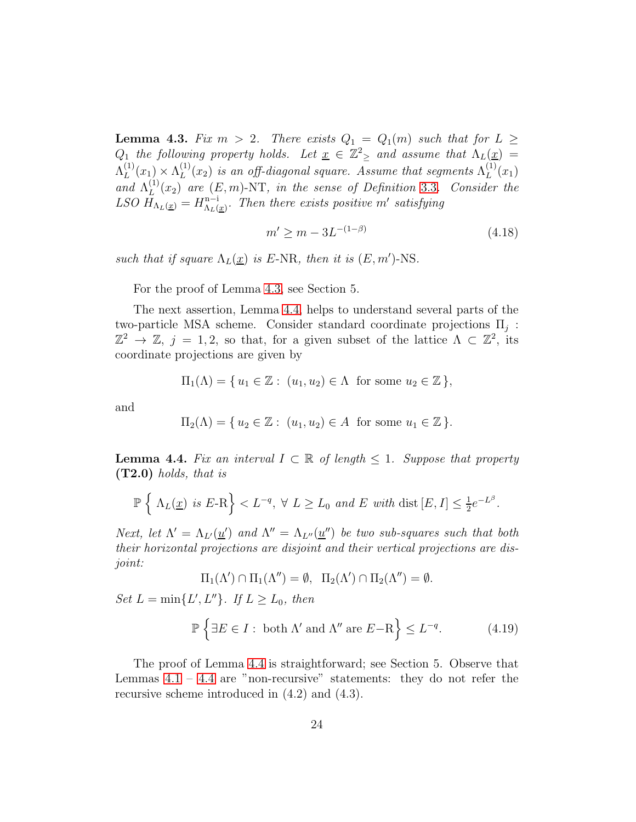<span id="page-23-0"></span>**Lemma 4.3.** Fix  $m > 2$ . There exists  $Q_1 = Q_1(m)$  such that for  $L \geq$  $Q_1$  the following property holds. Let  $\underline{x} \in \mathbb{Z}_{\geq 2}^2$  and assume that  $\Lambda_L(\underline{x}) =$  $\Lambda_L^{(1)}$  $\Lambda_L^{(1)}(x_1) \times \Lambda_L^{(1)}$  $L^{(1)}(x_2)$  is an off-diagonal square. Assume that segments  $\Lambda^{(1)}_L$  $L^{(1)}(x_1)$ and  $\Lambda_L^{(1)}$  $L^{(1)}(x_2)$  are  $(E, m)$ -NT, in the sense of Definition [3.3](#page-16-0). Consider the LSO  $H_{\Lambda_L(\underline{x})} = H_{\Lambda_L(\underline{y})}^{\mathbf{n}-\mathbf{i}}$  $\frac{n-i}{\Lambda_L(\underline{x})}$ . Then there exists positive m' satisfying

$$
m' \ge m - 3L^{-(1-\beta)} \tag{4.18}
$$

such that if square  $\Lambda_L(\underline{x})$  is E-NR, then it is  $(E, m')$ -NS.

For the proof of Lemma [4.3,](#page-23-0) see Section 5.

The next assertion, Lemma [4.4,](#page-23-1) helps to understand several parts of the two-particle MSA scheme. Consider standard coordinate projections  $\Pi_j$ :  $\mathbb{Z}^2 \to \mathbb{Z}, j = 1, 2$ , so that, for a given subset of the lattice  $\Lambda \subset \mathbb{Z}^2$ , its coordinate projections are given by

$$
\Pi_1(\Lambda) = \{ u_1 \in \mathbb{Z} : (u_1, u_2) \in \Lambda \text{ for some } u_2 \in \mathbb{Z} \},
$$

and

$$
\Pi_2(\Lambda) = \{ u_2 \in \mathbb{Z} : (u_1, u_2) \in A \text{ for some } u_1 \in \mathbb{Z} \}.
$$

<span id="page-23-1"></span>**Lemma 4.4.** Fix an interval  $I \subset \mathbb{R}$  of length  $\leq 1$ . Suppose that property  $(T2.0)$  holds, that is

$$
\mathbb{P}\left\{\Lambda_L(\underline{x}) \text{ is } E\text{-R}\right\} < L^{-q}, \ \forall \ L \ge L_0 \ \text{and } E \ \text{with } \text{dist}\left[E, I\right] \le \frac{1}{2}e^{-L^{\beta}}.
$$

Next, let  $\Lambda' = \Lambda_{L'}(\underline{u}')$  and  $\Lambda'' = \Lambda_{L''}(\underline{u}'')$  be two sub-squares such that both their horizontal projections are disjoint and their vertical projections are disjoint:

$$
\Pi_1(\Lambda') \cap \Pi_1(\Lambda'') = \emptyset, \ \Pi_2(\Lambda') \cap \Pi_2(\Lambda'') = \emptyset.
$$

Set  $L = \min\{L', L''\}$ . If  $L \ge L_0$ , then

$$
\mathbb{P}\left\{\exists E \in I : \text{ both } \Lambda' \text{ and } \Lambda'' \text{ are } E - \mathcal{R}\right\} \le L^{-q}.\tag{4.19}
$$

The proof of Lemma [4.4](#page-23-1) is straightforward; see Section 5. Observe that Lemmas  $4.1 - 4.4$  $4.1 - 4.4$  are "non-recursive" statements: they do not refer the recursive scheme introduced in (4.2) and (4.3).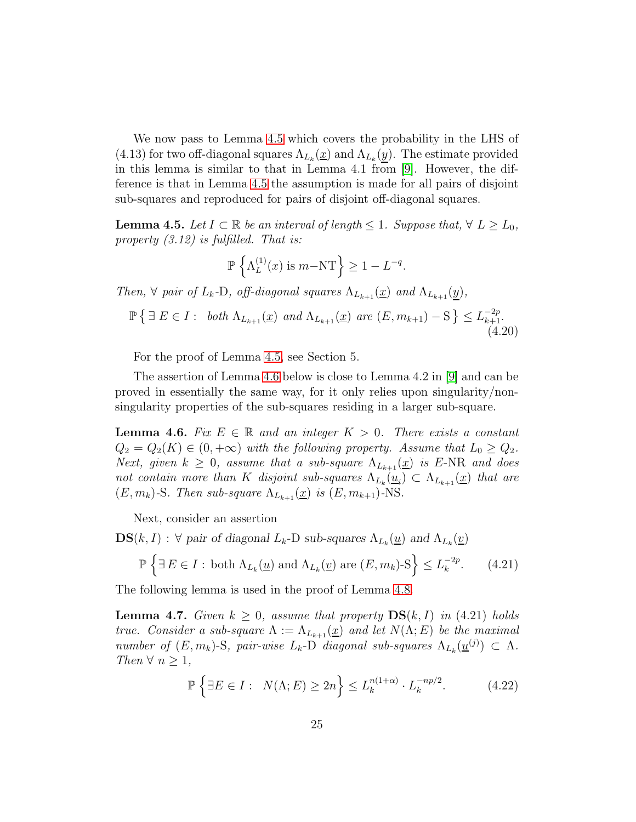We now pass to Lemma [4.5](#page-24-0) which covers the probability in the LHS of (4.13) for two off-diagonal squares  $\Lambda_{L_k}(\underline{x})$  and  $\Lambda_{L_k}(\underline{y})$ . The estimate provided in this lemma is similar to that in Lemma 4.1 from [\[9\]](#page-35-0). However, the difference is that in Lemma [4.5](#page-24-0) the assumption is made for all pairs of disjoint sub-squares and reproduced for pairs of disjoint off-diagonal squares.

<span id="page-24-0"></span>**Lemma 4.5.** Let  $I \subset \mathbb{R}$  be an interval of length  $\leq 1$ . Suppose that,  $\forall L \geq L_0$ , property  $(3.12)$  is fulfilled. That is:

$$
\mathbb{P}\left\{\Lambda_L^{(1)}(x) \text{ is } m-\text{NT}\right\} \ge 1 - L^{-q}.
$$

Then,  $\forall$  pair of  $L_k$ -D, off-diagonal squares  $\Lambda_{L_{k+1}}(\underline{x})$  and  $\Lambda_{L_{k+1}}(y)$ ,

$$
\mathbb{P}\left\{\exists E \in I: \text{ both } \Lambda_{L_{k+1}}(\underline{x}) \text{ and } \Lambda_{L_{k+1}}(\underline{x}) \text{ are } (E, m_{k+1}) - S\right\} \le L_{k+1}^{-2p}.
$$
\n(4.20)

For the proof of Lemma [4.5,](#page-24-0) see Section 5.

The assertion of Lemma [4.6](#page-24-2) below is close to Lemma 4.2 in [\[9\]](#page-35-0) and can be proved in essentially the same way, for it only relies upon singularity/nonsingularity properties of the sub-squares residing in a larger sub-square.

<span id="page-24-2"></span>**Lemma 4.6.** Fix  $E \in \mathbb{R}$  and an integer  $K > 0$ . There exists a constant  $Q_2 = Q_2(K) \in (0, +\infty)$  with the following property. Assume that  $L_0 \geq Q_2$ . Next, given  $k \geq 0$ , assume that a sub-square  $\Lambda_{L_{k+1}}(\underline{x})$  is E-NR and does not contain more than K disjoint sub-squares  $\Lambda_{L_k}(\underline{u}_i) \subset \Lambda_{L_{k+1}}(\underline{x})$  that are  $(E, m_k)$ -S. Then sub-square  $\Lambda_{L_{k+1}}(\underline{x})$  is  $(E, m_{k+1})$ -NS.

Next, consider an assertion

**DS**(*k, I*) : ∀ pair of diagonal *L<sub>k</sub>*-D sub-squares 
$$
Λ_{L_k}(\underline{u})
$$
 and  $Λ_{L_k}(\underline{v})$ 

$$
\mathbb{P}\left\{\exists E \in I : \text{ both } \Lambda_{L_k}(\underline{u}) \text{ and } \Lambda_{L_k}(\underline{v}) \text{ are } (E, m_k) \text{-S}\right\} \le L_k^{-2p}.\tag{4.21}
$$

The following lemma is used in the proof of Lemma [4.8.](#page-25-0)

<span id="page-24-1"></span>**Lemma 4.7.** Given  $k \geq 0$ , assume that property  $DS(k, I)$  in (4.21) holds true. Consider a sub-square  $\Lambda := \Lambda_{L_{k+1}}(\underline{x})$  and let  $N(\Lambda; E)$  be the maximal number of  $(E, m_k)$ -S, pair-wise  $L_k$ -D diagonal sub-squares  $\Lambda_{L_k}(\underline{u}^{(j)}) \subset \Lambda$ . Then  $\forall n \geq 1$ ,

$$
\mathbb{P}\left\{\exists E \in I : N(\Lambda; E) \ge 2n\right\} \le L_k^{n(1+\alpha)} \cdot L_k^{-np/2}.\tag{4.22}
$$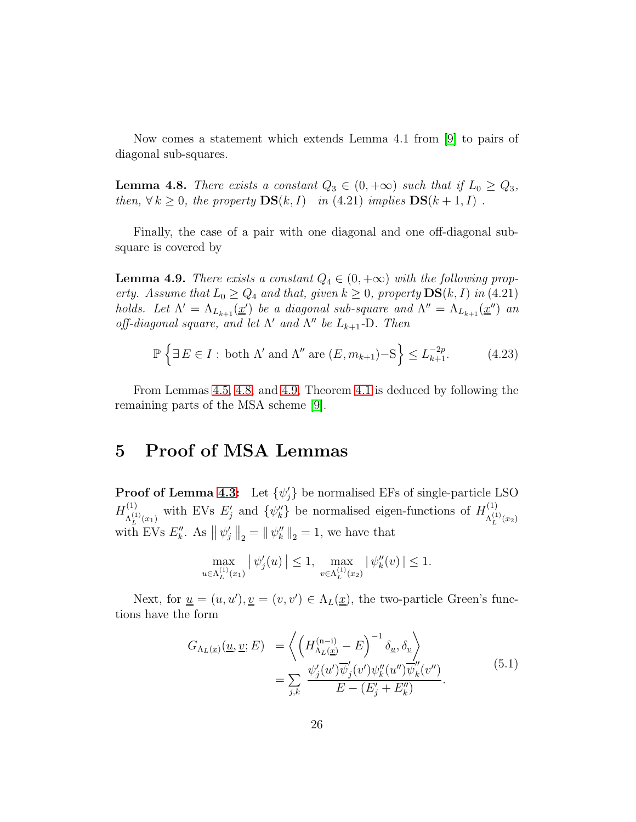Now comes a statement which extends Lemma 4.1 from [\[9\]](#page-35-0) to pairs of diagonal sub-squares.

<span id="page-25-0"></span>**Lemma 4.8.** There exists a constant  $Q_3 \in (0, +\infty)$  such that if  $L_0 \geq Q_3$ , then,  $\forall k \geq 0$ , the property  $\mathbf{DS}(k, I)$  in (4.21) implies  $\mathbf{DS}(k+1, I)$ .

Finally, the case of a pair with one diagonal and one off-diagonal subsquare is covered by

<span id="page-25-1"></span>**Lemma 4.9.** There exists a constant  $Q_4 \in (0, +\infty)$  with the following property. Assume that  $L_0 \ge Q_4$  and that, given  $k \ge 0$ , property  $DS(k, I)$  in (4.21) holds. Let  $\Lambda' = \Lambda_{L_{k+1}}(\underline{x}')$  be a diagonal sub-square and  $\Lambda'' = \Lambda_{L_{k+1}}(\underline{x}'')$  and off-diagonal square, and let  $\Lambda'$  and  $\Lambda''$  be  $L_{k+1}$ -D. Then

$$
\mathbb{P}\left\{\exists E \in I : \text{ both } \Lambda' \text{ and } \Lambda'' \text{ are } (E, m_{k+1}) - S\right\} \le L_{k+1}^{-2p}.\tag{4.23}
$$

From Lemmas [4.5,](#page-24-0) [4.8,](#page-25-0) and [4.9,](#page-25-1) Theorem [4.1](#page-19-0) is deduced by following the remaining parts of the MSA scheme [\[9\]](#page-35-0).

## 5 Proof of MSA Lemmas

**Proof of Lemma [4.3:](#page-23-0)** Let  $\{\psi_j\}$  be normalised EFs of single-particle LSO  $H^{(1)}_{\Lambda(1)}$ <sup>(1)</sup>  $\Lambda_L^{(1)}(x_1)$  with EVs  $E'_j$  and  $\{\psi''_k\}$  be normalised eigen-functions of  $H_{\Lambda_L^{(1)}}^{(1)}$  $\Lambda_L^{(1)}(x_2)$ with EVs  $E_k''$ . As  $\|\psi_j'\|_2 = \|\psi_k''\|_2 = 1$ , we have that

$$
\max_{u \in \Lambda_L^{(1)}(x_1)} |\psi_j'(u)| \le 1, \ \max_{v \in \Lambda_L^{(1)}(x_2)} |\psi_k''(v)| \le 1.
$$

Next, for  $\underline{u} = (u, u')$ ,  $\underline{v} = (v, v') \in \Lambda_L(\underline{x})$ , the two-particle Green's functions have the form

$$
G_{\Lambda_L(\underline{x})}(\underline{u}, \underline{v}; E) = \left\langle \left( H_{\Lambda_L(\underline{x})}^{(n-i)} - E \right)^{-1} \delta_{\underline{u}}, \delta_{\underline{v}} \right\rangle
$$
  

$$
= \sum_{j,k} \frac{\psi_j'(u') \overline{\psi}_j'(v') \psi_k''(u'') \overline{\psi_k}'(v'')}{E - (E_j' + E_k'')}.
$$
(5.1)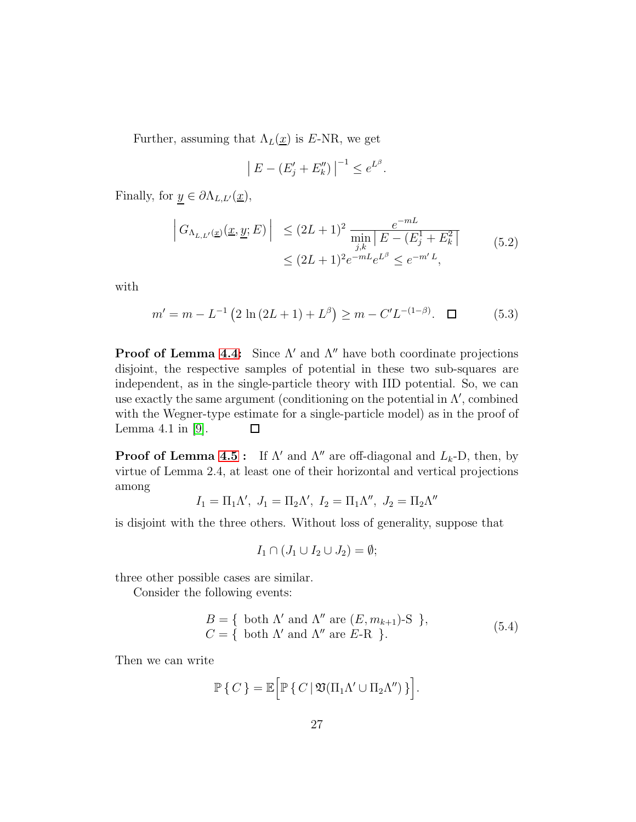Further, assuming that  $\Lambda_L(\underline{x})$  is E-NR, we get

$$
|E - (E'_j + E''_k)|^{-1} \le e^{L^{\beta}}.
$$

Finally, for  $y \in \partial \Lambda_{L,L'}(\underline{x})$ ,

$$
\left| G_{\Lambda_{L,L'}(\underline{x})}(\underline{x}, \underline{y}; E) \right| \le (2L+1)^2 \frac{e^{-mL}}{\min_{j,k} |E - (E_j^1 + E_k^2|)}
$$
\n
$$
\le (2L+1)^2 e^{-mL} e^{L^{\beta}} \le e^{-m'L}, \tag{5.2}
$$

with

$$
m' = m - L^{-1} \left( 2 \ln \left( 2L + 1 \right) + L^{\beta} \right) \ge m - C' L^{-(1-\beta)}. \quad \Box \tag{5.3}
$$

**Proof of Lemma [4.4:](#page-23-1)** Since  $\Lambda'$  and  $\Lambda''$  have both coordinate projections disjoint, the respective samples of potential in these two sub-squares are independent, as in the single-particle theory with IID potential. So, we can use exactly the same argument (conditioning on the potential in  $\Lambda'$ , combined with the Wegner-type estimate for a single-particle model) as in the proof of Lemma 4.1 in [\[9\]](#page-35-0).  $\Box$ 

**Proof of Lemma [4.5](#page-24-0) :** If  $\Lambda'$  and  $\Lambda''$  are off-diagonal and  $L_k$ -D, then, by virtue of Lemma 2.4, at least one of their horizontal and vertical projections among ′′

$$
I_1 = \Pi_1 \Lambda', J_1 = \Pi_2 \Lambda', I_2 = \Pi_1 \Lambda'', J_2 = \Pi_2 \Lambda'
$$

is disjoint with the three others. Without loss of generality, suppose that

$$
I_1 \cap (J_1 \cup I_2 \cup J_2) = \emptyset;
$$

three other possible cases are similar.

Consider the following events:

$$
B = \{ \text{ both } \Lambda' \text{ and } \Lambda'' \text{ are } (E, m_{k+1})\text{-S } \},
$$
  

$$
C = \{ \text{ both } \Lambda' \text{ and } \Lambda'' \text{ are } E\text{-R } \}.
$$
 (5.4)

Then we can write

$$
\mathbb{P}\left\{C\right\}=\mathbb{E}\Big[\mathbb{P}\left\{C\,|\,\mathfrak{V}(\Pi_1\Lambda'\cup\Pi_2\Lambda'')\,\right\}\Big].
$$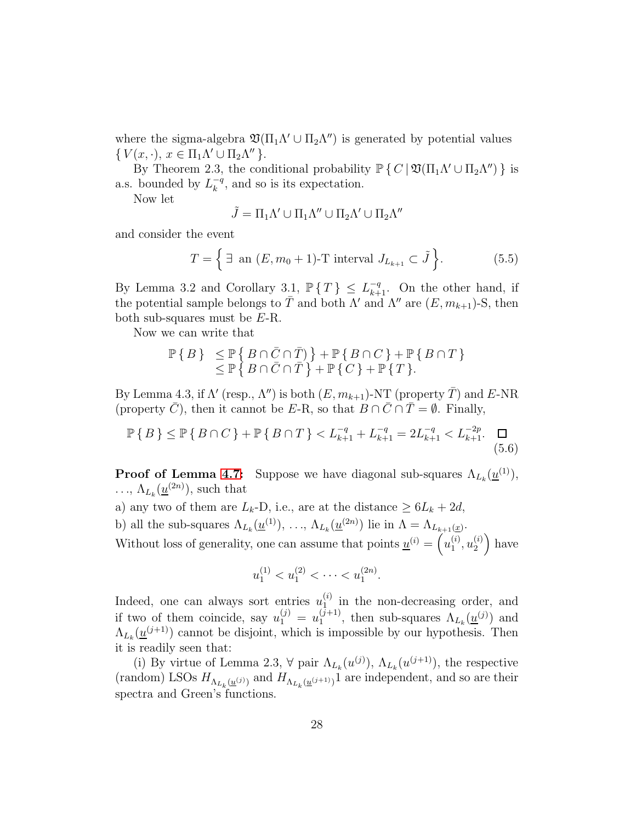where the sigma-algebra  $\mathfrak{V}(\Pi_1 \Lambda' \cup \Pi_2 \Lambda'')$  is generated by potential values  $\{ V(x, \cdot), x \in \Pi_1 \Lambda' \cup \Pi_2 \Lambda'' \}.$ 

By Theorem 2.3, the conditional probability  $\mathbb{P}\{C \mid \mathfrak{V}(\Pi_1 \Lambda' \cup \Pi_2 \Lambda'')\}$  is a.s. bounded by  $L_k^{-q}$  $\kappa^{q}$ , and so is its expectation.

Now let

$$
\tilde{J}=\Pi_1\Lambda'\cup\Pi_1\Lambda''\cup\Pi_2\Lambda'\cup\Pi_2\Lambda''
$$

and consider the event

$$
T = \left\{ \exists \text{ an } (E, m_0 + 1)\text{-}T \text{ interval } J_{L_{k+1}} \subset \tilde{J} \right\}.
$$
 (5.5)

By Lemma 3.2 and Corollary 3.1,  $\mathbb{P}\{T\} \leq L_{k+1}^{-q}$ . On the other hand, if the potential sample belongs to  $\overline{T}$  and both  $\Lambda'$  and  $\Lambda''$  are  $(E, m_{k+1})$ -S, then both sub-squares must be E-R.

Now we can write that

$$
\mathbb{P}\{B\} \leq \mathbb{P}\{B \cap \bar{C} \cap \bar{T}\} + \mathbb{P}\{B \cap C\} + \mathbb{P}\{B \cap T\} \leq \mathbb{P}\{B \cap \bar{C} \cap \bar{T}\} + \mathbb{P}\{C\} + \mathbb{P}\{T\}.
$$

By Lemma 4.3, if  $\Lambda'$  (resp.,  $\Lambda''$ ) is both  $(E, m_{k+1})$ -NT (property  $\overline{T}$ ) and  $E$ -NR (property  $\overline{C}$ ), then it cannot be E-R, so that  $B \cap \overline{C} \cap \overline{T} = \emptyset$ . Finally,

$$
\mathbb{P}\left\{B\right\} \le \mathbb{P}\left\{B \cap C\right\} + \mathbb{P}\left\{B \cap T\right\} < L_{k+1}^{-q} + L_{k+1}^{-q} = 2L_{k+1}^{-q} < L_{k+1}^{-2p}. \quad \Box \tag{5.6}
$$

**Proof of Lemma [4.7:](#page-24-1)** Suppose we have diagonal sub-squares  $\Lambda_{L_k}(\underline{u}^{(1)})$ ,  $\ldots, \Lambda_{L_k}(\underline{u}^{(2n)})$ , such that

a) any two of them are  $L_k$ -D, i.e., are at the distance  $\geq 6L_k + 2d$ ,

b) all the sub-squares  $\Lambda_{L_k}(\underline{u}^{(1)}), \ldots, \Lambda_{L_k}(\underline{u}^{(2n)})$  lie in  $\Lambda = \Lambda_{L_{k+1}(\underline{x})}$ .

Without loss of generality, one can assume that points  $\underline{u}^{(i)} = \begin{pmatrix} u_1^{(i)} \\ u_1^{(i)} \end{pmatrix}$  $\binom{i}{1},u_2^{(i)}$ 2 have

$$
u_1^{(1)} < u_1^{(2)} < \cdots < u_1^{(2n)}.
$$

Indeed, one can always sort entries  $u_1^{(i)}$  $\binom{a}{1}$  in the non-decreasing order, and if two of them coincide, say  $u_1^{(j)} = u_1^{(j+1)}$  $\Lambda_{L_k}(\underline{u}^{(j)})$  and  $\Lambda_{L_k}(\underline{u}^{(j)})$  and  $\Lambda_{L_k}(\underline{u}^{(j+1)})$  cannot be disjoint, which is impossible by our hypothesis. Then it is readily seen that:

(i) By virtue of Lemma 2.3,  $\forall$  pair  $\Lambda_{L_k}(u^{(j)}), \Lambda_{L_k}(u^{(j+1)})$ , the respective (random) LSOs  $H_{\Lambda_{L_k}(\underline{u}^{(j)})}$  and  $H_{\Lambda_{L_k}(\underline{u}^{(j+1)})}$  are independent, and so are their spectra and Green's functions.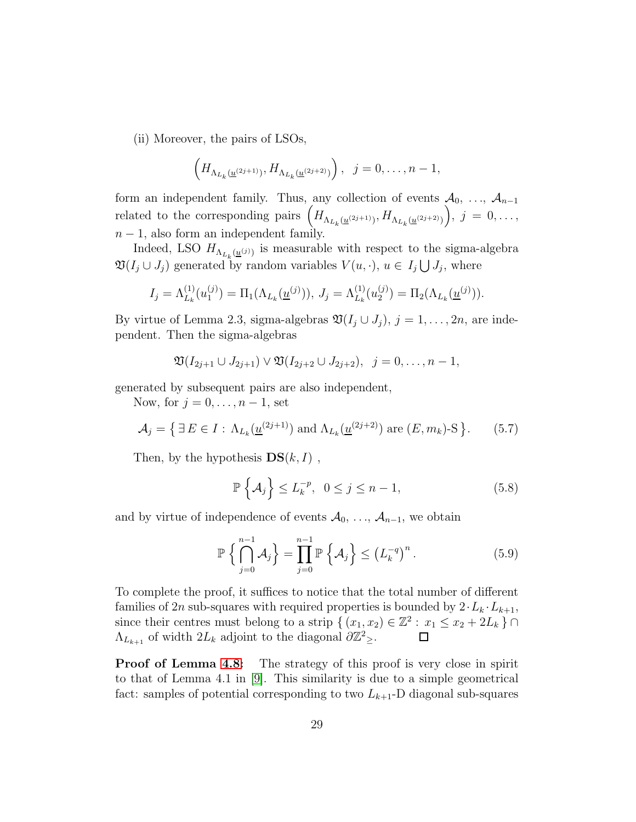(ii) Moreover, the pairs of LSOs,

$$
\left(H_{\Lambda_{L_k}(\underline{u}^{(2j+1)})},H_{\Lambda_{L_k}(\underline{u}^{(2j+2)})}\right), \ \ j=0,\ldots,n-1,
$$

form an independent family. Thus, any collection of events  $A_0, \ldots, A_{n-1}$ related to the corresponding pairs  $\left(H_{\Lambda_{L_k}(\underline{u}^{(2j+1)})}, H_{\Lambda_{L_k}(\underline{u}^{(2j+2)})}\right)$  $\bigg), \, j = 0, \ldots,$  $n-1$ , also form an independent family.

Indeed, LSO  $H_{\Lambda_{L_k}(\underline{u}^{(j)})}$  is measurable with respect to the sigma-algebra  $\mathfrak{V}(I_j \cup J_j)$  generated by random variables  $V(u, \cdot), u \in I_j \bigcup J_j$ , where

$$
I_j = \Lambda_{L_k}^{(1)}(u_1^{(j)}) = \Pi_1(\Lambda_{L_k}(\underline{u}^{(j)})), J_j = \Lambda_{L_k}^{(1)}(u_2^{(j)}) = \Pi_2(\Lambda_{L_k}(\underline{u}^{(j)})).
$$

By virtue of Lemma 2.3, sigma-algebras  $\mathfrak{V}(I_j \cup J_j)$ ,  $j = 1, \ldots, 2n$ , are independent. Then the sigma-algebras

$$
\mathfrak{V}(I_{2j+1}\cup J_{2j+1})\vee \mathfrak{V}(I_{2j+2}\cup J_{2j+2}), \ \ j=0,\ldots,n-1,
$$

generated by subsequent pairs are also independent,

Now, for  $j = 0, \ldots, n-1$ , set

$$
\mathcal{A}_j = \left\{ \exists E \in I : \Lambda_{L_k}(\underline{u}^{(2j+1)}) \text{ and } \Lambda_{L_k}(\underline{u}^{(2j+2)}) \text{ are } (E, m_k)\text{-S} \right\}. \tag{5.7}
$$

Then, by the hypothesis  $DS(k, I)$ ,

$$
\mathbb{P}\left\{\mathcal{A}_{j}\right\} \le L_{k}^{-p}, \ \ 0 \le j \le n-1, \tag{5.8}
$$

and by virtue of independence of events  $A_0, \ldots, A_{n-1}$ , we obtain

$$
\mathbb{P}\left\{\bigcap_{j=0}^{n-1} \mathcal{A}_j\right\} = \prod_{j=0}^{n-1} \mathbb{P}\left\{\mathcal{A}_j\right\} \le \left(L_k^{-q}\right)^n. \tag{5.9}
$$

To complete the proof, it suffices to notice that the total number of different families of 2n sub-squares with required properties is bounded by  $2 \cdot L_k \cdot L_{k+1}$ , since their centres must belong to a strip  $\{(x_1, x_2) \in \mathbb{Z}^2 : x_1 \leq x_2 + 2L_k\} \cap$  $\Lambda_{L_{k+1}}$  of width  $2L_k$  adjoint to the diagonal  $\partial \mathbb{Z}_\geq^2$ .  $\Box$ 

**Proof of Lemma [4.8:](#page-25-0)** The strategy of this proof is very close in spirit to that of Lemma 4.1 in [\[9\]](#page-35-0). This similarity is due to a simple geometrical fact: samples of potential corresponding to two  $L_{k+1}$ -D diagonal sub-squares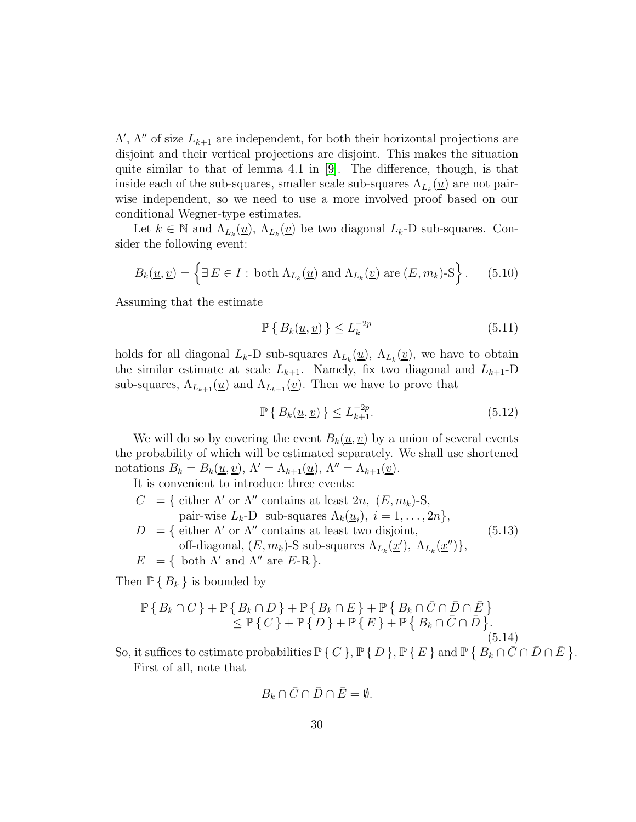$\Lambda'$ ,  $\Lambda''$  of size  $L_{k+1}$  are independent, for both their horizontal projections are disjoint and their vertical projections are disjoint. This makes the situation quite similar to that of lemma 4.1 in [\[9\]](#page-35-0). The difference, though, is that inside each of the sub-squares, smaller scale sub-squares  $\Lambda_{L_k}(\underline{u})$  are not pairwise independent, so we need to use a more involved proof based on our conditional Wegner-type estimates.

Let  $k \in \mathbb{N}$  and  $\Lambda_{L_k}(\underline{u}), \Lambda_{L_k}(\underline{v})$  be two diagonal  $L_k$ -D sub-squares. Consider the following event:

$$
B_k(\underline{u}, \underline{v}) = \left\{ \exists E \in I : \text{ both } \Lambda_{L_k}(\underline{u}) \text{ and } \Lambda_{L_k}(\underline{v}) \text{ are } (E, m_k)\text{-S} \right\}. \tag{5.10}
$$

Assuming that the estimate

$$
\mathbb{P}\left\{B_k(\underline{u}, \underline{v})\right\} \le L_k^{-2p} \tag{5.11}
$$

holds for all diagonal  $L_k$ -D sub-squares  $\Lambda_{L_k}(\underline{u})$ ,  $\Lambda_{L_k}(\underline{v})$ , we have to obtain the similar estimate at scale  $L_{k+1}$ . Namely, fix two diagonal and  $L_{k+1}$ -D sub-squares,  $\Lambda_{L_{k+1}}(\underline{u})$  and  $\Lambda_{L_{k+1}}(\underline{v})$ . Then we have to prove that

$$
\mathbb{P}\left\{B_k(\underline{u}, \underline{v})\right\} \le L_{k+1}^{-2p}.\tag{5.12}
$$

We will do so by covering the event  $B_k(\underline{u}, \underline{v})$  by a union of several events the probability of which will be estimated separately. We shall use shortened notations  $B_k = B_k(\underline{u}, \underline{v}), \Lambda' = \Lambda_{k+1}(\underline{u}), \Lambda'' = \Lambda_{k+1}(\underline{v}).$ 

It is convenient to introduce three events:

- $C = \{$  either  $\Lambda'$  or  $\Lambda''$  contains at least  $2n, (E, m_k)$ -S, pair-wise  $L_k$ -D sub-squares  $\Lambda_k(\underline{u}_i)$ ,  $i = 1, \ldots, 2n\},$
- $D = \{$  either  $\Lambda'$  or  $\Lambda''$  contains at least two disjoint, off-diagonal,  $(E, m_k)$ -S sub-squares  $\Lambda_{L_k}(\underline{x}'), \Lambda_{L_k}(\underline{x}'')\},$ (5.13)
- $E = \{ \text{ both } \Lambda' \text{ and } \Lambda'' \text{ are } E R \}.$

Then  $\mathbb{P} \{ B_k \}$  is bounded by

$$
\mathbb{P}\left\{B_k \cap C\right\} + \mathbb{P}\left\{B_k \cap D\right\} + \mathbb{P}\left\{B_k \cap E\right\} + \mathbb{P}\left\{B_k \cap \bar{C} \cap \bar{D} \cap \bar{E}\right\} \leq \mathbb{P}\left\{C\right\} + \mathbb{P}\left\{D\right\} + \mathbb{P}\left\{E\right\} + \mathbb{P}\left\{B_k \cap \bar{C} \cap \bar{D}\right\}.
$$
\n(5.14)

So, it suffices to estimate probabilities  $\mathbb{P}\{C\}$ ,  $\mathbb{P}\{D\}$ ,  $\mathbb{P}\{E\}$  and  $\mathbb{P}\{B_k \cap \overline{C} \cap \overline{D} \cap \overline{E}\}$ . First of all, note that

$$
B_k \cap \overline{C} \cap \overline{D} \cap \overline{E} = \emptyset.
$$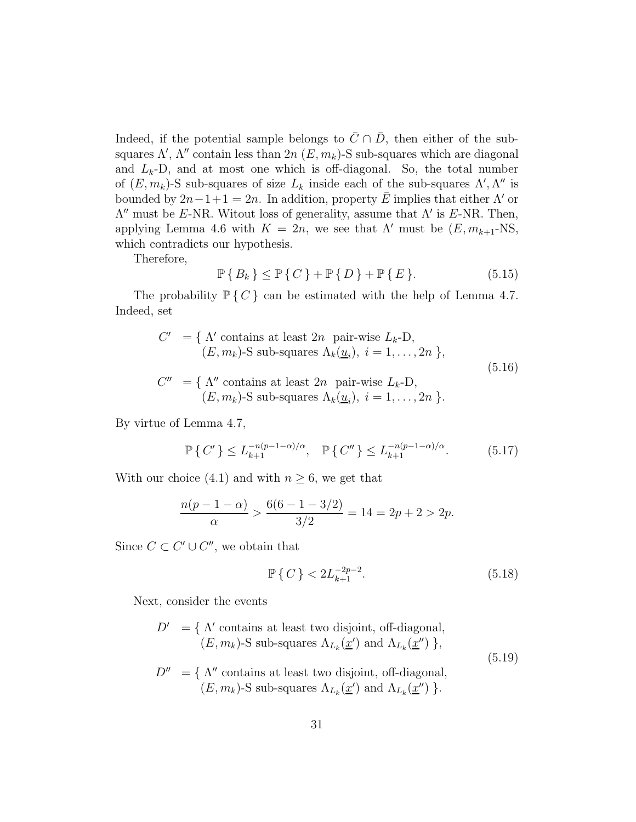Indeed, if the potential sample belongs to  $\overline{C} \cap \overline{D}$ , then either of the subsquares  $\Lambda'$ ,  $\Lambda''$  contain less than  $2n$   $(E, m_k)$ -S sub-squares which are diagonal and  $L_k$ -D, and at most one which is off-diagonal. So, the total number of  $(E, m_k)$ -S sub-squares of size  $L_k$  inside each of the sub-squares  $\Lambda', \Lambda''$  is bounded by  $2n-1+1=2n$ . In addition, property E implies that either  $\Lambda'$  or  $\Lambda''$  must be E-NR. Witout loss of generality, assume that  $\Lambda'$  is E-NR. Then, applying Lemma 4.6 with  $K = 2n$ , we see that  $\Lambda'$  must be  $(E, m_{k+1}$ -NS, which contradicts our hypothesis.

Therefore,

$$
\mathbb{P}\left\{B_k\right\} \le \mathbb{P}\left\{C\right\} + \mathbb{P}\left\{D\right\} + \mathbb{P}\left\{E\right\}.\tag{5.15}
$$

The probability  $\mathbb{P}\{C\}$  can be estimated with the help of Lemma 4.7. Indeed, set

$$
C' = \{ \Lambda' \text{ contains at least } 2n \text{ pair-wise } L_k - D, (E, m_k)-S \text{ sub-squares } \Lambda_k(\underline{u}_i), i = 1, ..., 2n \}, C'' = \{ \Lambda'' \text{ contains at least } 2n \text{ pair-wise } L_k - D, (E, m_k)-S \text{ sub-squares } \Lambda_k(\underline{u}_i), i = 1, ..., 2n \}.
$$
\n
$$
(5.16)
$$

By virtue of Lemma 4.7,

$$
\mathbb{P}\left\{C'\right\} \le L_{k+1}^{-n(p-1-\alpha)/\alpha}, \quad \mathbb{P}\left\{C''\right\} \le L_{k+1}^{-n(p-1-\alpha)/\alpha}.\tag{5.17}
$$

With our choice (4.1) and with  $n \geq 6$ , we get that

$$
\frac{n(p-1-\alpha)}{\alpha} > \frac{6(6-1-3/2)}{3/2} = 14 = 2p + 2 > 2p.
$$

Since  $C \subset C' \cup C''$ , we obtain that

$$
\mathbb{P}\left\{C\right\} < 2L_{k+1}^{-2p-2}.\tag{5.18}
$$

Next, consider the events

$$
D' = \{ \Lambda' \text{ contains at least two disjoint, off-diagonal,} (E, m_k)-S \text{ sub-squares } \Lambda_{L_k}(\underline{x}') \text{ and } \Lambda_{L_k}(\underline{x}'') \},
$$
 (5.19)  
\n
$$
D'' = \{ \Lambda'' \text{ contains at least two disjoint, off-diagonal,} (E, m_k)-S \text{ sub-squares } \Lambda_{L_k}(\underline{x}') \text{ and } \Lambda_{L_k}(\underline{x}'') \}.
$$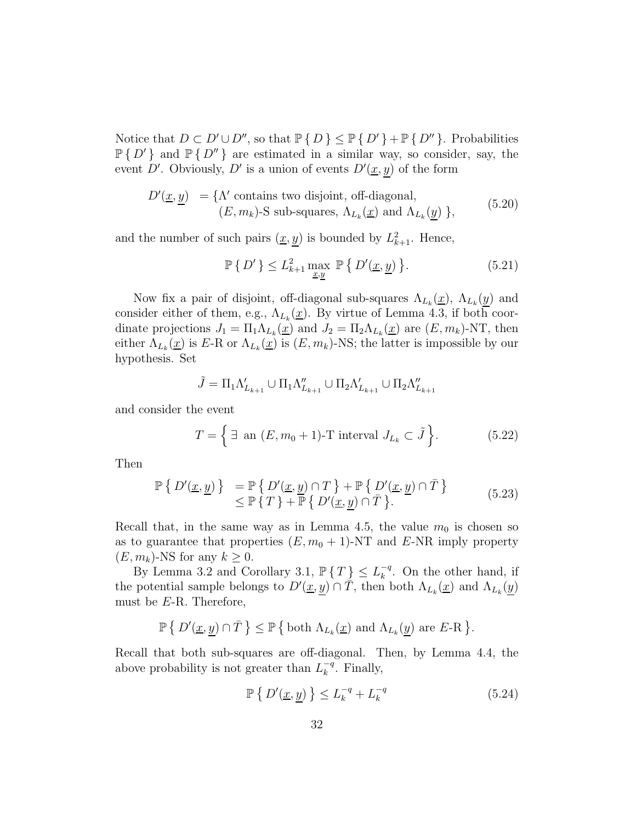Notice that  $D \subset D' \cup D''$ , so that  $\mathbb{P} \{ D \} \le \mathbb{P} \{ D' \} + \mathbb{P} \{ D'' \}$ . Probabilities  $P\{D'\}$  and  $P\{D''\}$  are estimated in a similar way, so consider, say, the event D'. Obviously, D' is a union of events  $D'(\underline{x}, y)$  of the form

$$
D'(\underline{x}, \underline{y}) = \{ \Lambda' \text{ contains two disjoint, off-diagonal,} \qquad (5.20) \qquad (E, m_k)\text{-}S \text{ sub-squares, } \Lambda_{L_k}(\underline{x}) \text{ and } \Lambda_{L_k}(\underline{y}) \},
$$

and the number of such pairs  $(\underline{x}, \underline{y})$  is bounded by  $L^2_{k+1}$ . Hence,

$$
\mathbb{P}\left\{\left.D'\right.\right\} \leq L_{k+1}^2 \max_{\underline{x}, \underline{y}} \mathbb{P}\left\{\left.D'(\underline{x}, \underline{y})\right.\right\}.
$$
\n(5.21)

Now fix a pair of disjoint, off-diagonal sub-squares  $\Lambda_{L_k}(\underline{x})$ ,  $\Lambda_{L_k}(\underline{y})$  and consider either of them, e.g.,  $\Lambda_{L_k}(\underline{x})$ . By virtue of Lemma 4.3, if both coordinate projections  $J_1 = \prod_1 \Lambda_{L_k}(\underline{x})$  and  $J_2 = \prod_2 \Lambda_{L_k}(\underline{x})$  are  $(E, m_k)$ -NT, then either  $\Lambda_{L_k}(\underline{x})$  is E-R or  $\Lambda_{L_k}(\underline{x})$  is  $(E, m_k)$ -NS; the latter is impossible by our hypothesis. Set

$$
\tilde{J} = \Pi_1 \Lambda'_{L_{k+1}} \cup \Pi_1 \Lambda''_{L_{k+1}} \cup \Pi_2 \Lambda'_{L_{k+1}} \cup \Pi_2 \Lambda''_{L_{k+1}}
$$

and consider the event

$$
T = \left\{ \exists \text{ an } (E, m_0 + 1) \text{-} T \text{ interval } J_{L_k} \subset \tilde{J} \right\}. \tag{5.22}
$$

Then

$$
\mathbb{P}\left\{\left.D'(\underline{x}, \underline{y})\right.\right\} = \mathbb{P}\left\{\left.D'(\underline{x}, \underline{y}) \cap T\right.\right\} + \mathbb{P}\left\{\left.D'(\underline{x}, \underline{y}) \cap \bar{T}\right.\right\} \leq \mathbb{P}\left\{\left.T\right\} + \mathbb{P}\left\{\left.D'(\underline{x}, \underline{y}) \cap \bar{T}\right.\right\}.
$$
\n(5.23)

Recall that, in the same way as in Lemma 4.5, the value  $m_0$  is chosen so as to guarantee that properties  $(E, m_0 + 1)$ -NT and E-NR imply property  $(E, m_k)$ -NS for any  $k \geq 0$ .

By Lemma 3.2 and Corollary 3.1,  $\mathbb{P}\{T\} \leq L_k^{-q}$  $\kappa^{q}$ . On the other hand, if the potential sample belongs to  $D'(\underline{x}, \underline{y}) \cap \overline{T}$ , then both  $\Lambda_{L_k}(\underline{x})$  and  $\Lambda_{L_k}(\underline{y})$ must be E-R. Therefore,

$$
\mathbb{P}\left\{\left.D'(\underline{x},\underline{y})\cap\bar{T}\right.\right\}\leq\mathbb{P}\left\{\text{ both }\Lambda_{L_k}(\underline{x})\text{ and }\Lambda_{L_k}(\underline{y})\text{ are }E\text{-R}\right.\right\}.
$$

Recall that both sub-squares are off-diagonal. Then, by Lemma 4.4, the above probability is not greater than  $L_k^{-q}$  $\overline{k}^{q}$ . Finally,

$$
\mathbb{P}\left\{\left|D'(\underline{x},\underline{y})\right|\right\} \le L_k^{-q} + L_k^{-q} \tag{5.24}
$$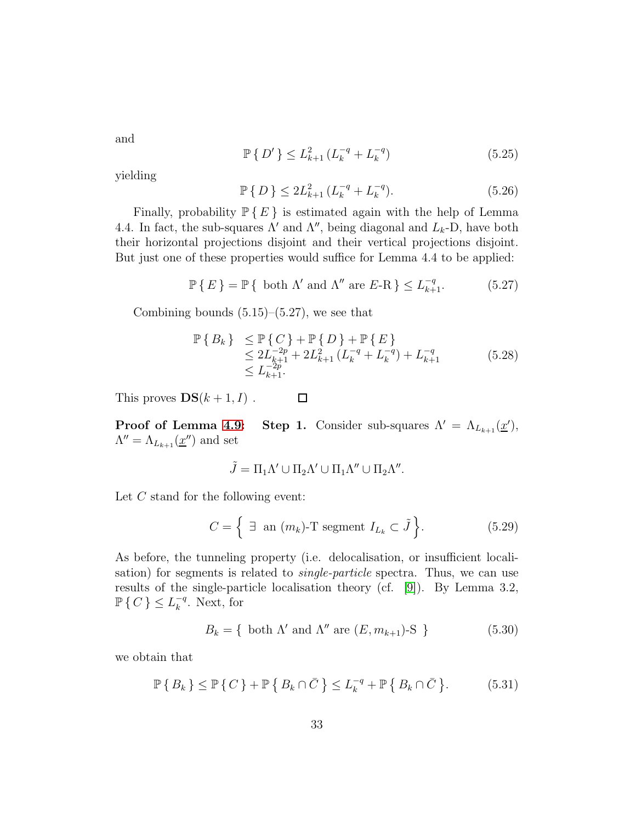and

$$
\mathbb{P}\left\{ D' \right\} \le L_{k+1}^2 \left( L_k^{-q} + L_k^{-q} \right) \tag{5.25}
$$

yielding

$$
\mathbb{P}\left\{D\right\} \le 2L_{k+1}^2 \left(L_k^{-q} + L_k^{-q}\right). \tag{5.26}
$$

Finally, probability  $\mathbb{P} \{ E \}$  is estimated again with the help of Lemma 4.4. In fact, the sub-squares  $\Lambda'$  and  $\Lambda''$ , being diagonal and  $L_k$ -D, have both their horizontal projections disjoint and their vertical projections disjoint. But just one of these properties would suffice for Lemma 4.4 to be applied:

$$
\mathbb{P}\left\{\,E\,\right\} = \mathbb{P}\left\{\text{ both }\Lambda'\text{ and }\Lambda''\text{ are }E\text{-R}\,\right\} \le L_{k+1}^{-q}.\tag{5.27}
$$

Combining bounds  $(5.15)$ – $(5.27)$ , we see that

$$
\mathbb{P}\left\{B_k\right\} \leq \mathbb{P}\left\{C\right\} + \mathbb{P}\left\{D\right\} + \mathbb{P}\left\{E\right\} \n\leq 2L_{k+1}^{-2p} + 2L_{k+1}^2 \left(L_k^{-q} + L_k^{-q}\right) + L_{k+1}^{-q} \n\leq L_{k+1}^{-2p}.
$$
\n(5.28)

This proves  $DS(k+1, I)$ .  $\Box$ 

**Proof of Lemma [4.9:](#page-25-1)** Step 1. Consider sub-squares  $\Lambda' = \Lambda_{L_{k+1}}(\underline{x}')$ ,  $\Lambda'' = \Lambda_{L_{k+1}}(\underline{x}'')$  and set

$$
\tilde{J} = \Pi_1 \Lambda' \cup \Pi_2 \Lambda' \cup \Pi_1 \Lambda'' \cup \Pi_2 \Lambda''.
$$

Let C stand for the following event:

$$
C = \left\{ \begin{array}{ll} \exists \text{ an } (m_k)\text{-T segment } I_{L_k} \subset \tilde{J} \end{array} \right\}.
$$
 (5.29)

As before, the tunneling property (i.e. delocalisation, or insufficient localisation) for segments is related to *single-particle* spectra. Thus, we can use results of the single-particle localisation theory (cf. [\[9\]](#page-35-0)). By Lemma 3.2,  $\mathbb{P}\left\{ C\right\} \leq L_{k}^{-q}$  $\frac{q}{k}$ . Next, for

$$
B_k = \{ \text{ both } \Lambda' \text{ and } \Lambda'' \text{ are } (E, m_{k+1})\text{-S } \}
$$
 (5.30)

we obtain that

$$
\mathbb{P}\left\{B_k\right\} \leq \mathbb{P}\left\{C\right\} + \mathbb{P}\left\{B_k \cap \bar{C}\right\} \leq L_k^{-q} + \mathbb{P}\left\{B_k \cap \bar{C}\right\}.
$$
 (5.31)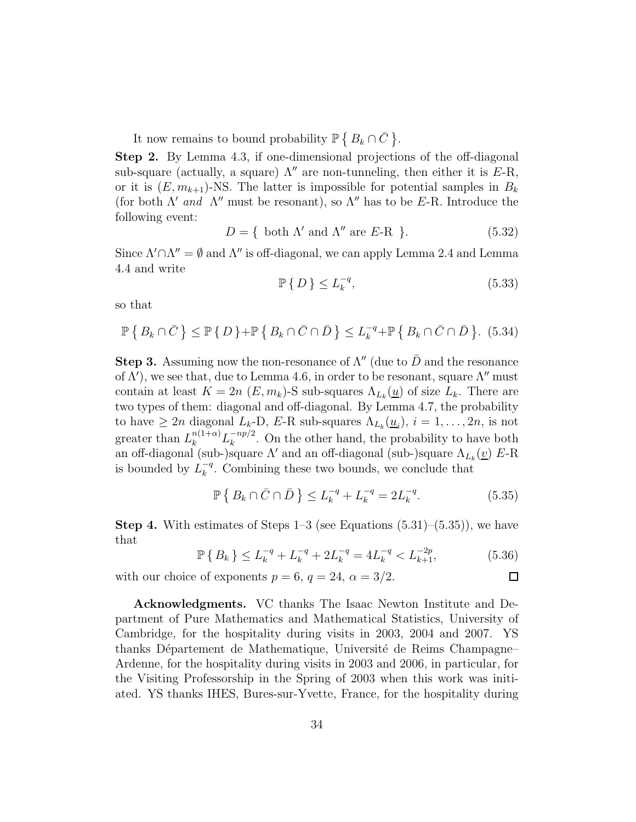It now remains to bound probability  $\mathbb{P}\left\{B_k \cap \bar{C}\right\}$ .

Step 2. By Lemma 4.3, if one-dimensional projections of the off-diagonal sub-square (actually, a square)  $\Lambda''$  are non-tunneling, then either it is E-R, or it is  $(E, m_{k+1})$ -NS. The latter is impossible for potential samples in  $B_k$ (for both  $\Lambda'$  and  $\Lambda''$  must be resonant), so  $\Lambda''$  has to be E-R. Introduce the following event:

$$
D = \{ \text{ both } \Lambda' \text{ and } \Lambda'' \text{ are } E - \mathcal{R} \}.
$$
 (5.32)

Since  $\Lambda' \cap \Lambda'' = \emptyset$  and  $\Lambda''$  is off-diagonal, we can apply Lemma 2.4 and Lemma 4.4 and write

$$
\mathbb{P}\left\{D\right\} \le L_k^{-q},\tag{5.33}
$$

so that

$$
\mathbb{P}\left\{B_k \cap \bar{C}\right\} \le \mathbb{P}\left\{D\right\} + \mathbb{P}\left\{B_k \cap \bar{C} \cap \bar{D}\right\} \le L_k^{-q} + \mathbb{P}\left\{B_k \cap \bar{C} \cap \bar{D}\right\}.
$$
 (5.34)

**Step 3.** Assuming now the non-resonance of  $\Lambda''$  (due to  $\bar{D}$  and the resonance of  $\Lambda'$ ), we see that, due to Lemma 4.6, in order to be resonant, square  $\Lambda''$  must contain at least  $K = 2n \ (E, m_k)$ -S sub-squares  $\Lambda_{L_k}(\underline{u})$  of size  $L_k$ . There are two types of them: diagonal and off-diagonal. By Lemma 4.7, the probability to have  $\geq 2n$  diagonal  $L_k$ -D,  $E$ -R sub-squares  $\Lambda_{L_k}(\underline{u}_i)$ ,  $i = 1, \ldots, 2n$ , is not greater than  $L_k^{n(1+\alpha)} L_k^{-np/2}$  $\binom{-np}{k}$ . On the other hand, the probability to have both an off-diagonal (sub-)square Λ' and an off-diagonal (sub-)square  $\Lambda_{L_k}(\underline{v})$  E-R is bounded by  $L_k^{-q}$  $k^{-q}$ . Combining these two bounds, we conclude that

$$
\mathbb{P}\left\{B_k \cap \bar{C} \cap \bar{D}\right\} \le L_k^{-q} + L_k^{-q} = 2L_k^{-q}.\tag{5.35}
$$

**Step 4.** With estimates of Steps  $1-3$  (see Equations  $(5.31)-(5.35)$ ), we have that

$$
\mathbb{P}\left\{B_k\right\} \le L_k^{-q} + L_k^{-q} + 2L_k^{-q} = 4L_k^{-q} < L_{k+1}^{-2p},\tag{5.36}
$$

 $\Box$ 

with our choice of exponents  $p = 6$ ,  $q = 24$ ,  $\alpha = 3/2$ .

Acknowledgments. VC thanks The Isaac Newton Institute and Department of Pure Mathematics and Mathematical Statistics, University of Cambridge, for the hospitality during visits in 2003, 2004 and 2007. YS thanks Département de Mathematique, Université de Reims Champagne– Ardenne, for the hospitality during visits in 2003 and 2006, in particular, for the Visiting Professorship in the Spring of 2003 when this work was initiated. YS thanks IHES, Bures-sur-Yvette, France, for the hospitality during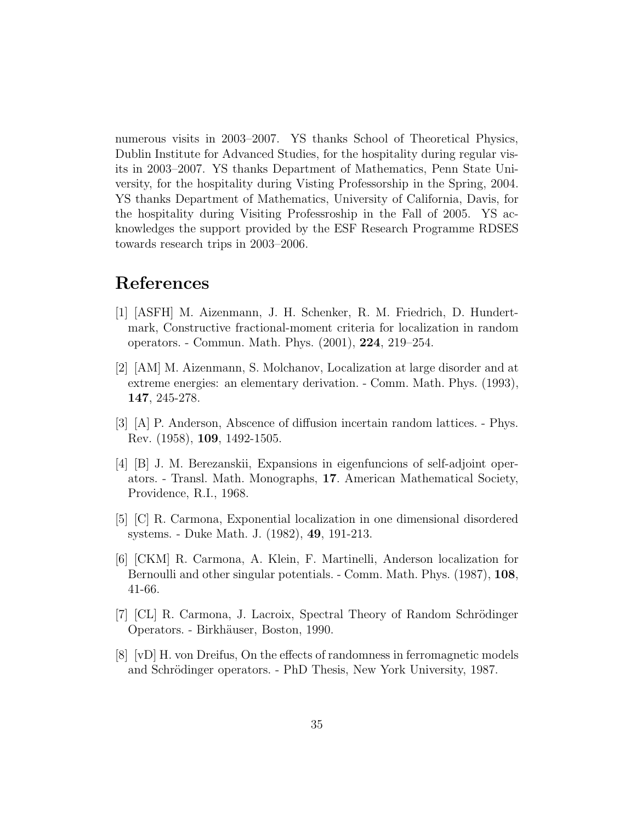numerous visits in 2003–2007. YS thanks School of Theoretical Physics, Dublin Institute for Advanced Studies, for the hospitality during regular visits in 2003–2007. YS thanks Department of Mathematics, Penn State University, for the hospitality during Visting Professorship in the Spring, 2004. YS thanks Department of Mathematics, University of California, Davis, for the hospitality during Visiting Professroship in the Fall of 2005. YS acknowledges the support provided by the ESF Research Programme RDSES towards research trips in 2003–2006.

# <span id="page-34-2"></span>References

- [1] [ASFH] M. Aizenmann, J. H. Schenker, R. M. Friedrich, D. Hundertmark, Constructive fractional-moment criteria for localization in random operators. - Commun. Math. Phys. (2001), 224, 219–254.
- <span id="page-34-1"></span>[2] [AM] M. Aizenmann, S. Molchanov, Localization at large disorder and at extreme energies: an elementary derivation. - Comm. Math. Phys. (1993), 147, 245-278.
- [3] [A] P. Anderson, Abscence of diffusion incertain random lattices. Phys. Rev. (1958), 109, 1492-1505.
- [4] [B] J. M. Berezanskii, Expansions in eigenfuncions of self-adjoint operators. - Transl. Math. Monographs, 17. American Mathematical Society, Providence, R.I., 1968.
- <span id="page-34-4"></span>[5] [C] R. Carmona, Exponential localization in one dimensional disordered systems. - Duke Math. J. (1982), 49, 191-213.
- [6] [CKM] R. Carmona, A. Klein, F. Martinelli, Anderson localization for Bernoulli and other singular potentials. - Comm. Math. Phys. (1987), 108, 41-66.
- <span id="page-34-3"></span><span id="page-34-0"></span>[7] [CL] R. Carmona, J. Lacroix, Spectral Theory of Random Schrödinger Operators. - Birkh¨auser, Boston, 1990.
- [8] [vD] H. von Dreifus, On the effects of randomness in ferromagnetic models and Schrödinger operators. - PhD Thesis, New York University, 1987.